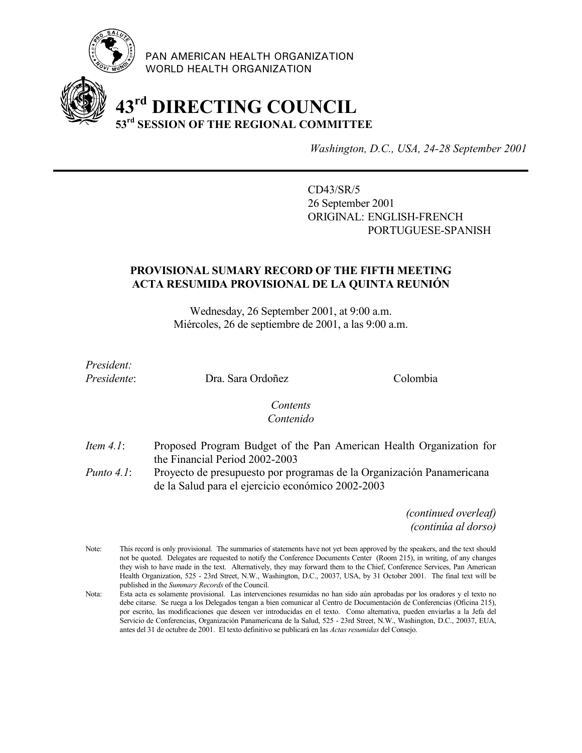

PAN AMERICAN HEALTH ORGANIZATION WORLD HEALTH ORGANIZATION

# **43rd DIRECTING COUNCIL 53rd SESSION OF THE REGIONAL COMMITTEE**

*Washington, D.C., USA, 24-28 September 2001*

CD43/SR/5 26 September 2001 ORIGINAL: ENGLISH-FRENCH PORTUGUESE-SPANISH

# **PROVISIONAL SUMARY RECORD OF THE FIFTH MEETING ACTA RESUMIDA PROVISIONAL DE LA QUINTA REUNIÓN**

Wednesday, 26 September 2001, at 9:00 a.m. Miércoles, 26 de septiembre de 2001, a las 9:00 a.m.

*President:*

Presidente: Dra. Sara Ordoñez Colombia

### *Contents Contenido*

- *Item 4.1*: Proposed Program Budget of the Pan American Health Organization for the Financial Period 2002-2003
- *Punto 4.1*: Proyecto de presupuesto por programas de la Organización Panamericana de la Salud para el ejercicio económico 2002-2003

*(continued overleaf) (continúa al dorso)*

- Note: This record is only provisional. The summaries of statements have not yet been approved by the speakers, and the text should not be quoted. Delegates are requested to notify the Conference Documents Center (Room 215), in writing, of any changes they wish to have made in the text. Alternatively, they may forward them to the Chief, Conference Services, Pan American Health Organization, 525 - 23rd Street, N.W., Washington, D.C., 20037, USA, by 31 October 2001. The final text will be published in the *Summary Records* of the Council.
- Nota: Esta acta es solamente provisional. Las intervenciones resumidas no han sido aún aprobadas por los oradores y el texto no debe citarse. Se ruega a los Delegados tengan a bien comunicar al Centro de Documentación de Conferencias (Oficina 215), por escrito, las modificaciones que deseen ver introducidas en el texto. Como alternativa, pueden enviarlas a la Jefa del Servicio de Conferencias, Organización Panamericana de la Salud, 525 - 23rd Street, N.W., Washington, D.C., 20037, EUA, antes del 31 de octubre de 2001. El texto definitivo se publicará en las *Actas resumidas* del Consejo.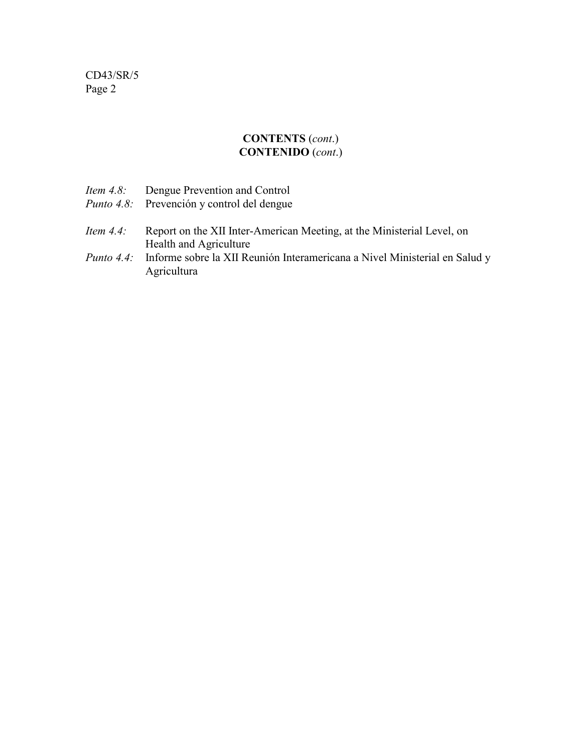### **CONTENTS** (*cont*.) **CONTENIDO** (*cont*.)

|              | <i>Item 4.8:</i> Dengue Prevention and Control<br><i>Punto 4.8:</i> Prevención y control del dengue |
|--------------|-----------------------------------------------------------------------------------------------------|
| Item $4.4$ : | Report on the XII Inter-American Meeting, at the Ministerial Level, on                              |
|              | Health and Agriculture                                                                              |
|              | <i>Punto 4.4:</i> Informe sobre la XII Reunión Interamericana a Nivel Ministerial en Salud y        |
|              | Agricultura                                                                                         |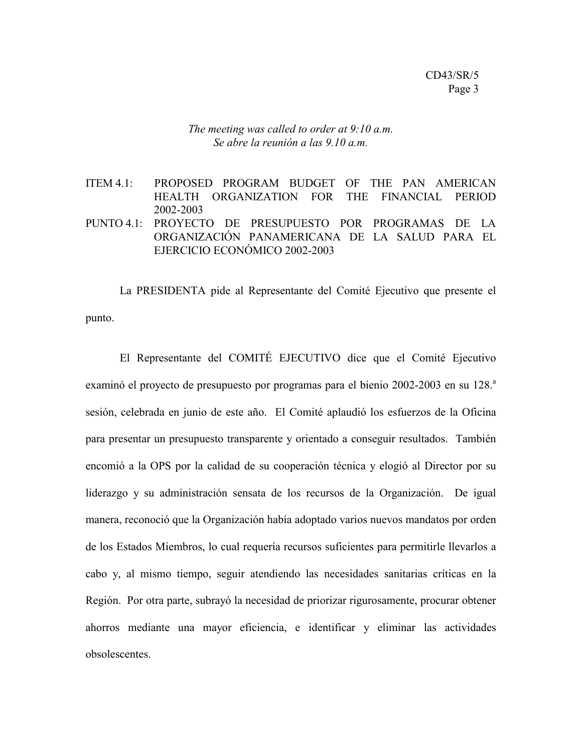*The meeting was called to order at 9:10 a.m. Se abre la reunión a las 9.10 a.m.*

ITEM 4.1: PROPOSED PROGRAM BUDGET OF THE PAN AMERICAN HEALTH ORGANIZATION FOR THE FINANCIAL PERIOD 2002-2003 PUNTO 4.1: PROYECTO DE PRESUPUESTO POR PROGRAMAS DE LA ORGANIZACIÓN PANAMERICANA DE LA SALUD PARA EL EJERCICIO ECONÓMICO 2002-2003

La PRESIDENTA pide al Representante del Comité Ejecutivo que presente el punto.

El Representante del COMITÉ EJECUTIVO dice que el Comité Ejecutivo examinó el proyecto de presupuesto por programas para el bienio 2002-2003 en su 128.<sup>a</sup> sesión, celebrada en junio de este año. El Comité aplaudió los esfuerzos de la Oficina para presentar un presupuesto transparente y orientado a conseguir resultados. También encomió a la OPS por la calidad de su cooperación técnica y elogió al Director por su liderazgo y su administración sensata de los recursos de la Organización. De igual manera, reconoció que la Organización había adoptado varios nuevos mandatos por orden de los Estados Miembros, lo cual requería recursos suficientes para permitirle llevarlos a cabo y, al mismo tiempo, seguir atendiendo las necesidades sanitarias críticas en la Región. Por otra parte, subrayó la necesidad de priorizar rigurosamente, procurar obtener ahorros mediante una mayor eficiencia, e identificar y eliminar las actividades obsolescentes.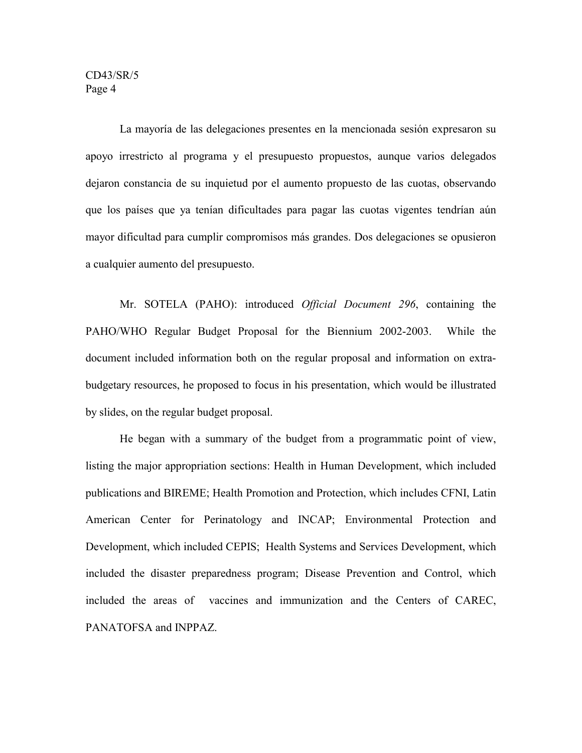La mayoría de las delegaciones presentes en la mencionada sesión expresaron su apoyo irrestricto al programa y el presupuesto propuestos, aunque varios delegados dejaron constancia de su inquietud por el aumento propuesto de las cuotas, observando que los países que ya tenían dificultades para pagar las cuotas vigentes tendrían aún mayor dificultad para cumplir compromisos más grandes. Dos delegaciones se opusieron a cualquier aumento del presupuesto.

Mr. SOTELA (PAHO): introduced *Official Document 296*, containing the PAHO/WHO Regular Budget Proposal for the Biennium 2002-2003. While the document included information both on the regular proposal and information on extrabudgetary resources, he proposed to focus in his presentation, which would be illustrated by slides, on the regular budget proposal.

He began with a summary of the budget from a programmatic point of view, listing the major appropriation sections: Health in Human Development, which included publications and BIREME; Health Promotion and Protection, which includes CFNI, Latin American Center for Perinatology and INCAP; Environmental Protection and Development, which included CEPIS; Health Systems and Services Development, which included the disaster preparedness program; Disease Prevention and Control, which included the areas of vaccines and immunization and the Centers of CAREC, PANATOFSA and INPPAZ.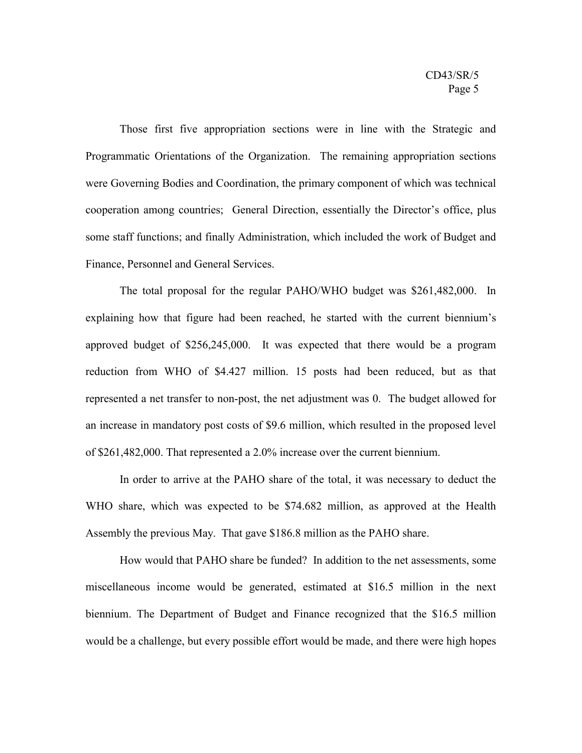Those first five appropriation sections were in line with the Strategic and Programmatic Orientations of the Organization. The remaining appropriation sections were Governing Bodies and Coordination, the primary component of which was technical cooperation among countries; General Direction, essentially the Director's office, plus some staff functions; and finally Administration, which included the work of Budget and Finance, Personnel and General Services.

The total proposal for the regular PAHO/WHO budget was \$261,482,000. In explaining how that figure had been reached, he started with the current biennium's approved budget of \$256,245,000. It was expected that there would be a program reduction from WHO of \$4.427 million. 15 posts had been reduced, but as that represented a net transfer to non-post, the net adjustment was 0. The budget allowed for an increase in mandatory post costs of \$9.6 million, which resulted in the proposed level of \$261,482,000. That represented a 2.0% increase over the current biennium.

In order to arrive at the PAHO share of the total, it was necessary to deduct the WHO share, which was expected to be \$74.682 million, as approved at the Health Assembly the previous May. That gave \$186.8 million as the PAHO share.

How would that PAHO share be funded? In addition to the net assessments, some miscellaneous income would be generated, estimated at \$16.5 million in the next biennium. The Department of Budget and Finance recognized that the \$16.5 million would be a challenge, but every possible effort would be made, and there were high hopes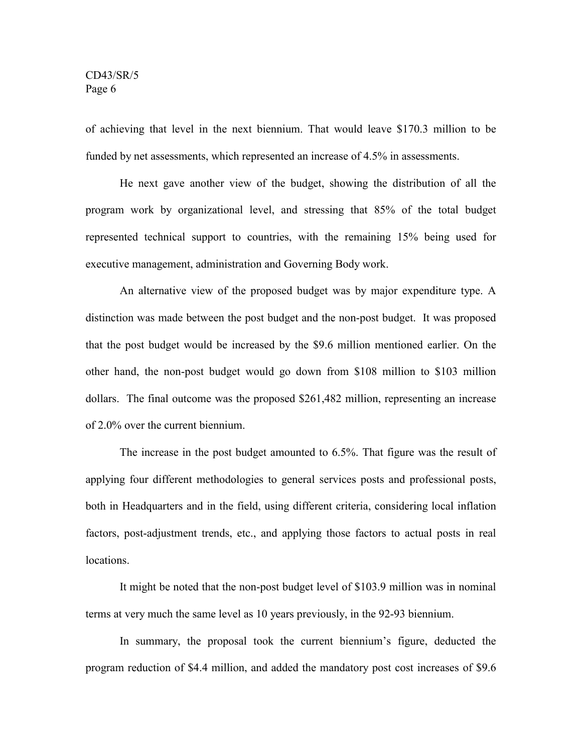of achieving that level in the next biennium. That would leave \$170.3 million to be funded by net assessments, which represented an increase of 4.5% in assessments.

He next gave another view of the budget, showing the distribution of all the program work by organizational level, and stressing that 85% of the total budget represented technical support to countries, with the remaining 15% being used for executive management, administration and Governing Body work.

An alternative view of the proposed budget was by major expenditure type. A distinction was made between the post budget and the non-post budget. It was proposed that the post budget would be increased by the \$9.6 million mentioned earlier. On the other hand, the non-post budget would go down from \$108 million to \$103 million dollars. The final outcome was the proposed \$261,482 million, representing an increase of 2.0% over the current biennium.

The increase in the post budget amounted to 6.5%. That figure was the result of applying four different methodologies to general services posts and professional posts, both in Headquarters and in the field, using different criteria, considering local inflation factors, post-adjustment trends, etc., and applying those factors to actual posts in real locations.

It might be noted that the non-post budget level of \$103.9 million was in nominal terms at very much the same level as 10 years previously, in the 92-93 biennium.

In summary, the proposal took the current biennium's figure, deducted the program reduction of \$4.4 million, and added the mandatory post cost increases of \$9.6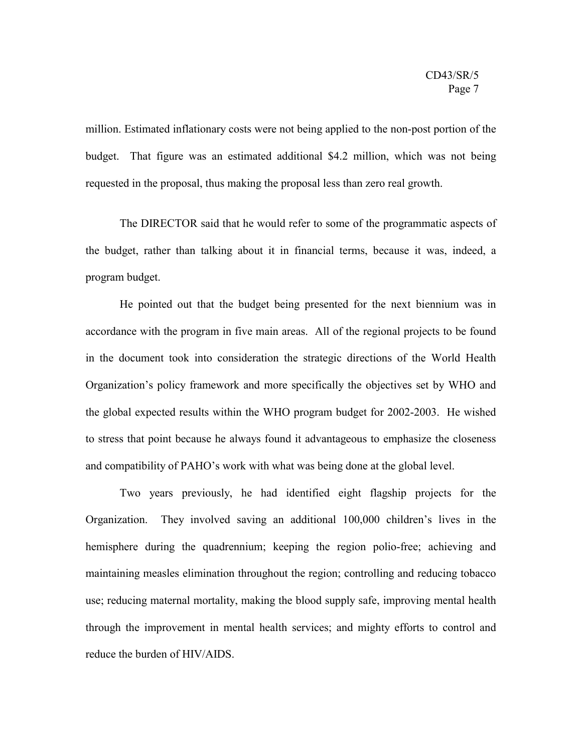million. Estimated inflationary costs were not being applied to the non-post portion of the budget. That figure was an estimated additional \$4.2 million, which was not being requested in the proposal, thus making the proposal less than zero real growth.

The DIRECTOR said that he would refer to some of the programmatic aspects of the budget, rather than talking about it in financial terms, because it was, indeed, a program budget.

He pointed out that the budget being presented for the next biennium was in accordance with the program in five main areas. All of the regional projects to be found in the document took into consideration the strategic directions of the World Health Organization's policy framework and more specifically the objectives set by WHO and the global expected results within the WHO program budget for 2002-2003. He wished to stress that point because he always found it advantageous to emphasize the closeness and compatibility of PAHO's work with what was being done at the global level.

Two years previously, he had identified eight flagship projects for the Organization. They involved saving an additional 100,000 children's lives in the hemisphere during the quadrennium; keeping the region polio-free; achieving and maintaining measles elimination throughout the region; controlling and reducing tobacco use; reducing maternal mortality, making the blood supply safe, improving mental health through the improvement in mental health services; and mighty efforts to control and reduce the burden of HIV/AIDS.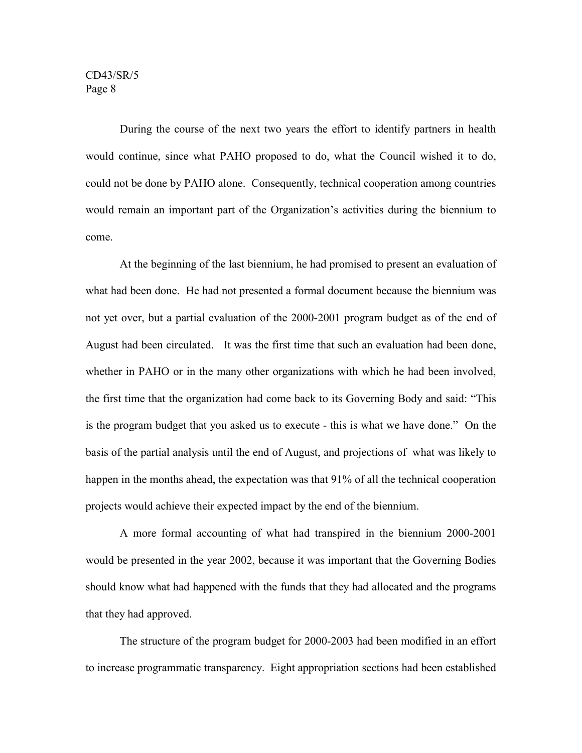During the course of the next two years the effort to identify partners in health would continue, since what PAHO proposed to do, what the Council wished it to do, could not be done by PAHO alone. Consequently, technical cooperation among countries would remain an important part of the Organization's activities during the biennium to come.

At the beginning of the last biennium, he had promised to present an evaluation of what had been done. He had not presented a formal document because the biennium was not yet over, but a partial evaluation of the 2000-2001 program budget as of the end of August had been circulated. It was the first time that such an evaluation had been done, whether in PAHO or in the many other organizations with which he had been involved, the first time that the organization had come back to its Governing Body and said: "This is the program budget that you asked us to execute - this is what we have done." On the basis of the partial analysis until the end of August, and projections of what was likely to happen in the months ahead, the expectation was that 91% of all the technical cooperation projects would achieve their expected impact by the end of the biennium.

A more formal accounting of what had transpired in the biennium 2000-2001 would be presented in the year 2002, because it was important that the Governing Bodies should know what had happened with the funds that they had allocated and the programs that they had approved.

The structure of the program budget for 2000-2003 had been modified in an effort to increase programmatic transparency. Eight appropriation sections had been established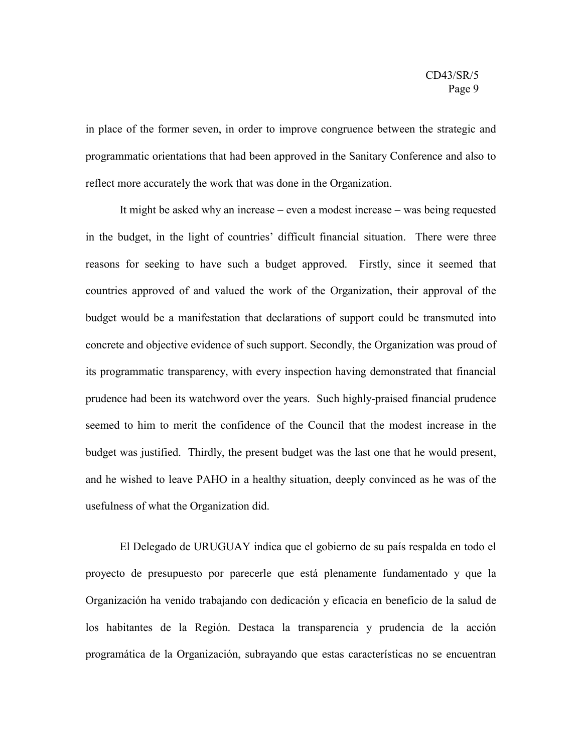in place of the former seven, in order to improve congruence between the strategic and programmatic orientations that had been approved in the Sanitary Conference and also to reflect more accurately the work that was done in the Organization.

It might be asked why an increase – even a modest increase – was being requested in the budget, in the light of countries' difficult financial situation. There were three reasons for seeking to have such a budget approved. Firstly, since it seemed that countries approved of and valued the work of the Organization, their approval of the budget would be a manifestation that declarations of support could be transmuted into concrete and objective evidence of such support. Secondly, the Organization was proud of its programmatic transparency, with every inspection having demonstrated that financial prudence had been its watchword over the years. Such highly-praised financial prudence seemed to him to merit the confidence of the Council that the modest increase in the budget was justified. Thirdly, the present budget was the last one that he would present, and he wished to leave PAHO in a healthy situation, deeply convinced as he was of the usefulness of what the Organization did.

El Delegado de URUGUAY indica que el gobierno de su país respalda en todo el proyecto de presupuesto por parecerle que está plenamente fundamentado y que la Organización ha venido trabajando con dedicación y eficacia en beneficio de la salud de los habitantes de la Región. Destaca la transparencia y prudencia de la acción programática de la Organización, subrayando que estas características no se encuentran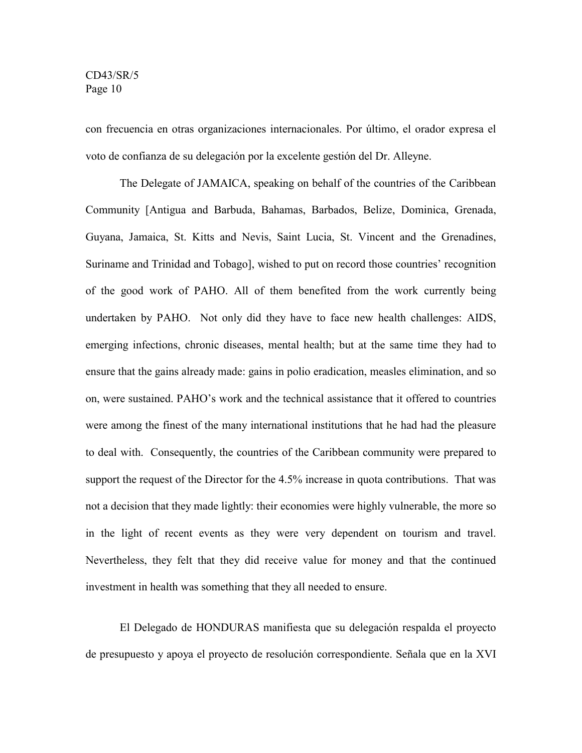con frecuencia en otras organizaciones internacionales. Por último, el orador expresa el voto de confianza de su delegación por la excelente gestión del Dr. Alleyne.

The Delegate of JAMAICA, speaking on behalf of the countries of the Caribbean Community [Antigua and Barbuda, Bahamas, Barbados, Belize, Dominica, Grenada, Guyana, Jamaica, St. Kitts and Nevis, Saint Lucia, St. Vincent and the Grenadines, Suriname and Trinidad and Tobago], wished to put on record those countries' recognition of the good work of PAHO. All of them benefited from the work currently being undertaken by PAHO. Not only did they have to face new health challenges: AIDS, emerging infections, chronic diseases, mental health; but at the same time they had to ensure that the gains already made: gains in polio eradication, measles elimination, and so on, were sustained. PAHO's work and the technical assistance that it offered to countries were among the finest of the many international institutions that he had had the pleasure to deal with. Consequently, the countries of the Caribbean community were prepared to support the request of the Director for the 4.5% increase in quota contributions. That was not a decision that they made lightly: their economies were highly vulnerable, the more so in the light of recent events as they were very dependent on tourism and travel. Nevertheless, they felt that they did receive value for money and that the continued investment in health was something that they all needed to ensure.

El Delegado de HONDURAS manifiesta que su delegación respalda el proyecto de presupuesto y apoya el proyecto de resolución correspondiente. Señala que en la XVI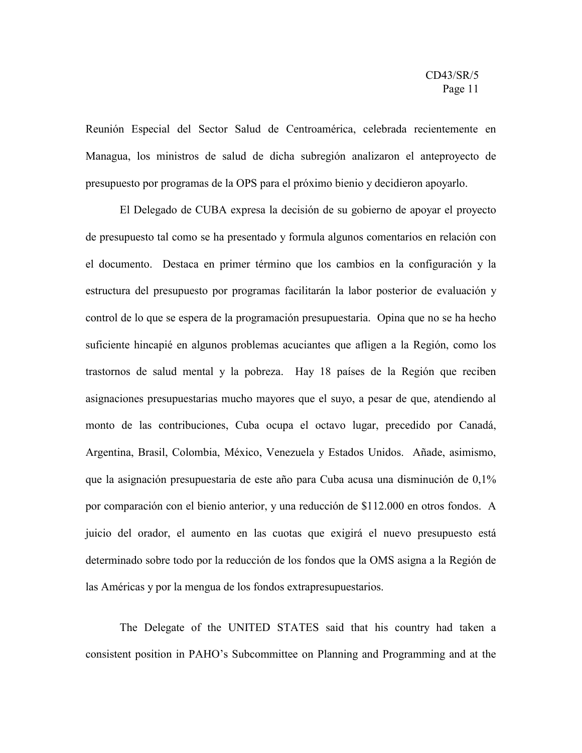Reunión Especial del Sector Salud de Centroamérica, celebrada recientemente en Managua, los ministros de salud de dicha subregión analizaron el anteproyecto de presupuesto por programas de la OPS para el próximo bienio y decidieron apoyarlo.

El Delegado de CUBA expresa la decisión de su gobierno de apoyar el proyecto de presupuesto tal como se ha presentado y formula algunos comentarios en relación con el documento. Destaca en primer término que los cambios en la configuración y la estructura del presupuesto por programas facilitarán la labor posterior de evaluación y control de lo que se espera de la programación presupuestaria. Opina que no se ha hecho suficiente hincapié en algunos problemas acuciantes que afligen a la Región, como los trastornos de salud mental y la pobreza. Hay 18 países de la Región que reciben asignaciones presupuestarias mucho mayores que el suyo, a pesar de que, atendiendo al monto de las contribuciones, Cuba ocupa el octavo lugar, precedido por Canadá, Argentina, Brasil, Colombia, México, Venezuela y Estados Unidos. Añade, asimismo, que la asignación presupuestaria de este año para Cuba acusa una disminución de 0,1% por comparación con el bienio anterior, y una reducción de \$112.000 en otros fondos. A juicio del orador, el aumento en las cuotas que exigirá el nuevo presupuesto está determinado sobre todo por la reducción de los fondos que la OMS asigna a la Región de las Américas y por la mengua de los fondos extrapresupuestarios.

The Delegate of the UNITED STATES said that his country had taken a consistent position in PAHO's Subcommittee on Planning and Programming and at the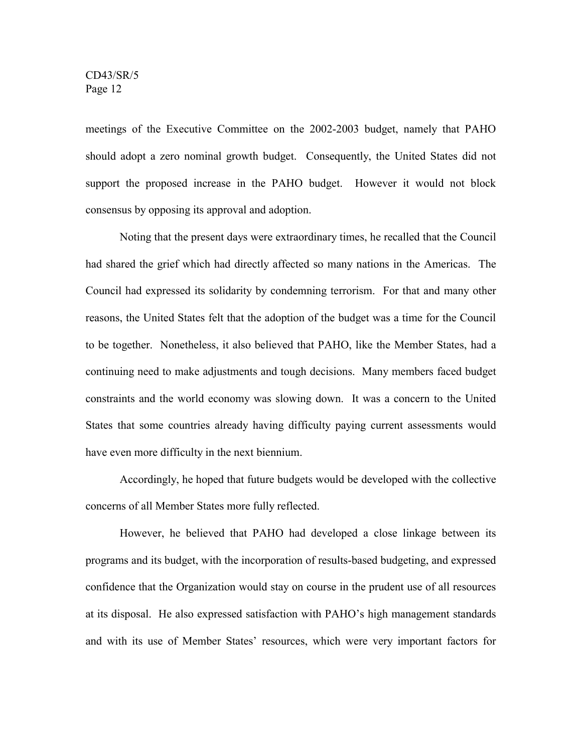meetings of the Executive Committee on the 2002-2003 budget, namely that PAHO should adopt a zero nominal growth budget. Consequently, the United States did not support the proposed increase in the PAHO budget. However it would not block consensus by opposing its approval and adoption.

Noting that the present days were extraordinary times, he recalled that the Council had shared the grief which had directly affected so many nations in the Americas. The Council had expressed its solidarity by condemning terrorism. For that and many other reasons, the United States felt that the adoption of the budget was a time for the Council to be together. Nonetheless, it also believed that PAHO, like the Member States, had a continuing need to make adjustments and tough decisions. Many members faced budget constraints and the world economy was slowing down. It was a concern to the United States that some countries already having difficulty paying current assessments would have even more difficulty in the next biennium.

Accordingly, he hoped that future budgets would be developed with the collective concerns of all Member States more fully reflected.

However, he believed that PAHO had developed a close linkage between its programs and its budget, with the incorporation of results-based budgeting, and expressed confidence that the Organization would stay on course in the prudent use of all resources at its disposal. He also expressed satisfaction with PAHO's high management standards and with its use of Member States' resources, which were very important factors for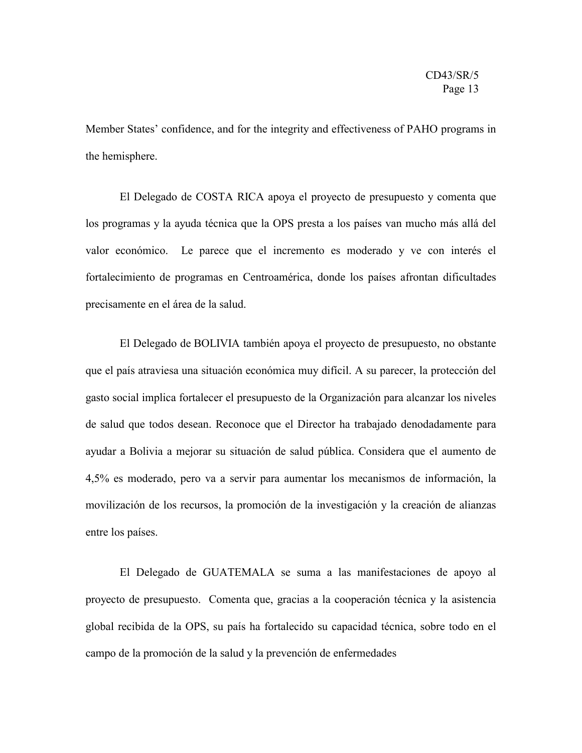Member States' confidence, and for the integrity and effectiveness of PAHO programs in the hemisphere.

El Delegado de COSTA RICA apoya el proyecto de presupuesto y comenta que los programas y la ayuda técnica que la OPS presta a los países van mucho más allá del valor económico. Le parece que el incremento es moderado y ve con interés el fortalecimiento de programas en Centroamérica, donde los países afrontan dificultades precisamente en el área de la salud.

El Delegado de BOLIVIA también apoya el proyecto de presupuesto, no obstante que el país atraviesa una situación económica muy difícil. A su parecer, la protección del gasto social implica fortalecer el presupuesto de la Organización para alcanzar los niveles de salud que todos desean. Reconoce que el Director ha trabajado denodadamente para ayudar a Bolivia a mejorar su situación de salud pública. Considera que el aumento de 4,5% es moderado, pero va a servir para aumentar los mecanismos de información, la movilización de los recursos, la promoción de la investigación y la creación de alianzas entre los países.

El Delegado de GUATEMALA se suma a las manifestaciones de apoyo al proyecto de presupuesto. Comenta que, gracias a la cooperación técnica y la asistencia global recibida de la OPS, su país ha fortalecido su capacidad técnica, sobre todo en el campo de la promoción de la salud y la prevención de enfermedades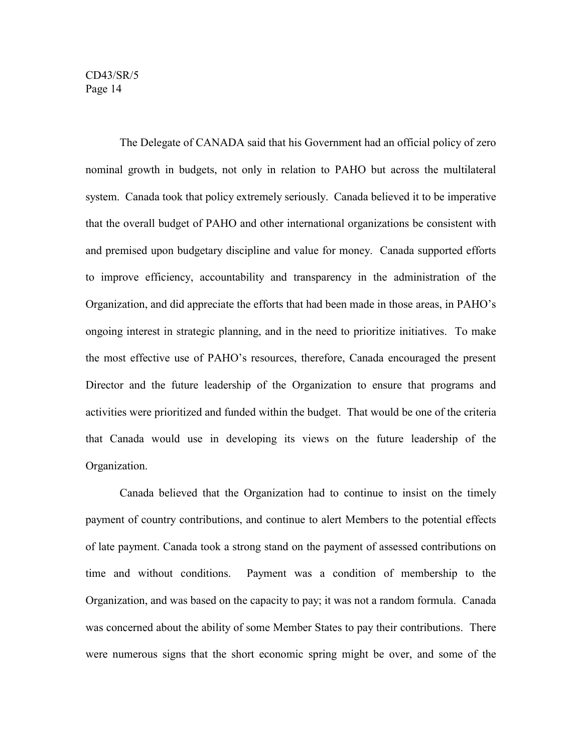The Delegate of CANADA said that his Government had an official policy of zero nominal growth in budgets, not only in relation to PAHO but across the multilateral system. Canada took that policy extremely seriously. Canada believed it to be imperative that the overall budget of PAHO and other international organizations be consistent with and premised upon budgetary discipline and value for money. Canada supported efforts to improve efficiency, accountability and transparency in the administration of the Organization, and did appreciate the efforts that had been made in those areas, in PAHO's ongoing interest in strategic planning, and in the need to prioritize initiatives. To make the most effective use of PAHO's resources, therefore, Canada encouraged the present Director and the future leadership of the Organization to ensure that programs and activities were prioritized and funded within the budget. That would be one of the criteria that Canada would use in developing its views on the future leadership of the Organization.

Canada believed that the Organization had to continue to insist on the timely payment of country contributions, and continue to alert Members to the potential effects of late payment. Canada took a strong stand on the payment of assessed contributions on time and without conditions. Payment was a condition of membership to the Organization, and was based on the capacity to pay; it was not a random formula. Canada was concerned about the ability of some Member States to pay their contributions. There were numerous signs that the short economic spring might be over, and some of the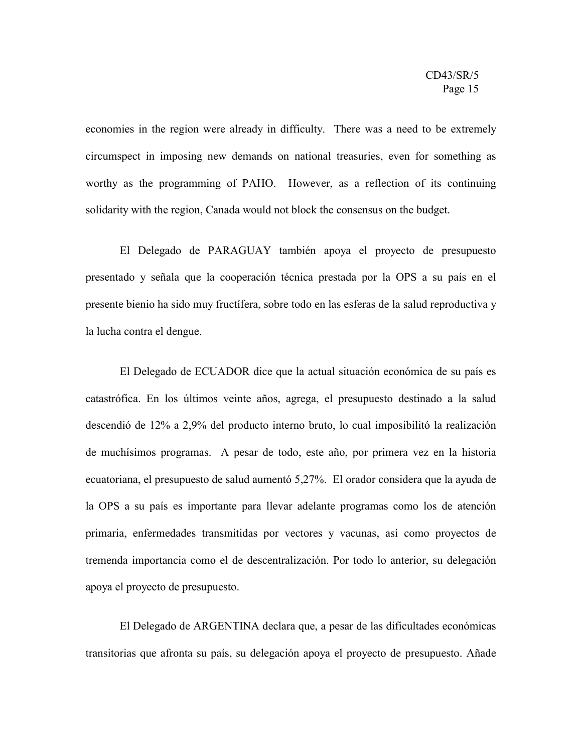economies in the region were already in difficulty. There was a need to be extremely circumspect in imposing new demands on national treasuries, even for something as worthy as the programming of PAHO. However, as a reflection of its continuing solidarity with the region, Canada would not block the consensus on the budget.

El Delegado de PARAGUAY también apoya el proyecto de presupuesto presentado y señala que la cooperación técnica prestada por la OPS a su país en el presente bienio ha sido muy fructífera, sobre todo en las esferas de la salud reproductiva y la lucha contra el dengue.

El Delegado de ECUADOR dice que la actual situación económica de su país es catastrófica. En los últimos veinte años, agrega, el presupuesto destinado a la salud descendió de 12% a 2,9% del producto interno bruto, lo cual imposibilitó la realización de muchísimos programas. A pesar de todo, este año, por primera vez en la historia ecuatoriana, el presupuesto de salud aumentó 5,27%. El orador considera que la ayuda de la OPS a su país es importante para llevar adelante programas como los de atención primaria, enfermedades transmitidas por vectores y vacunas, así como proyectos de tremenda importancia como el de descentralización. Por todo lo anterior, su delegación apoya el proyecto de presupuesto.

El Delegado de ARGENTINA declara que, a pesar de las dificultades económicas transitorias que afronta su país, su delegación apoya el proyecto de presupuesto. Añade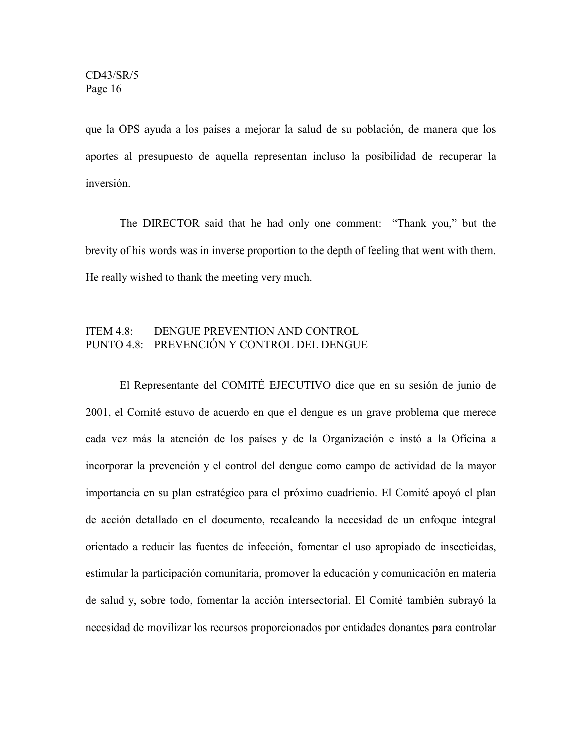que la OPS ayuda a los países a mejorar la salud de su población, de manera que los aportes al presupuesto de aquella representan incluso la posibilidad de recuperar la inversión.

The DIRECTOR said that he had only one comment: "Thank you," but the brevity of his words was in inverse proportion to the depth of feeling that went with them. He really wished to thank the meeting very much.

### ITEM 4.8: DENGUE PREVENTION AND CONTROL PUNTO 4.8: PREVENCIÓN Y CONTROL DEL DENGUE

El Representante del COMITÉ EJECUTIVO dice que en su sesión de junio de 2001, el Comité estuvo de acuerdo en que el dengue es un grave problema que merece cada vez más la atención de los países y de la Organización e instó a la Oficina a incorporar la prevención y el control del dengue como campo de actividad de la mayor importancia en su plan estratégico para el próximo cuadrienio. El Comité apoyó el plan de acción detallado en el documento, recalcando la necesidad de un enfoque integral orientado a reducir las fuentes de infección, fomentar el uso apropiado de insecticidas, estimular la participación comunitaria, promover la educación y comunicación en materia de salud y, sobre todo, fomentar la acción intersectorial. El Comité también subrayó la necesidad de movilizar los recursos proporcionados por entidades donantes para controlar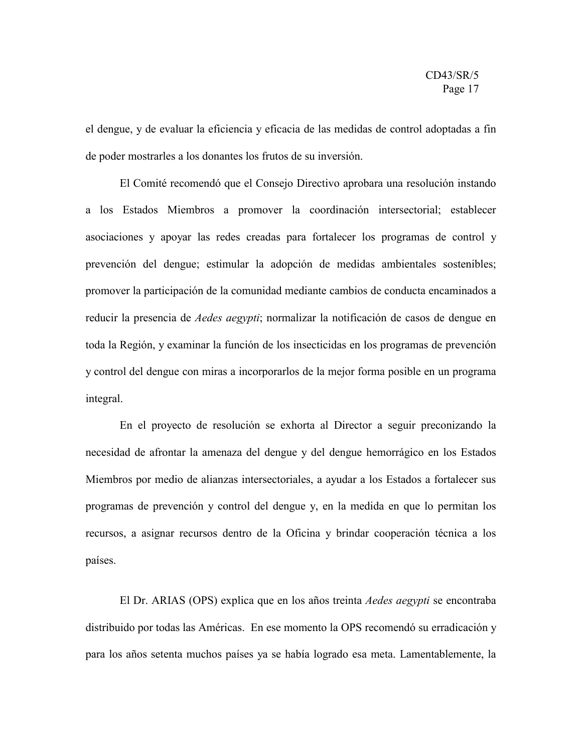el dengue, y de evaluar la eficiencia y eficacia de las medidas de control adoptadas a fin de poder mostrarles a los donantes los frutos de su inversión.

El Comité recomendó que el Consejo Directivo aprobara una resolución instando a los Estados Miembros a promover la coordinación intersectorial; establecer asociaciones y apoyar las redes creadas para fortalecer los programas de control y prevención del dengue; estimular la adopción de medidas ambientales sostenibles; promover la participación de la comunidad mediante cambios de conducta encaminados a reducir la presencia de *Aedes aegypti*; normalizar la notificación de casos de dengue en toda la Región, y examinar la función de los insecticidas en los programas de prevención y control del dengue con miras a incorporarlos de la mejor forma posible en un programa integral.

En el proyecto de resolución se exhorta al Director a seguir preconizando la necesidad de afrontar la amenaza del dengue y del dengue hemorrágico en los Estados Miembros por medio de alianzas intersectoriales, a ayudar a los Estados a fortalecer sus programas de prevención y control del dengue y, en la medida en que lo permitan los recursos, a asignar recursos dentro de la Oficina y brindar cooperación técnica a los países.

El Dr. ARIAS (OPS) explica que en los años treinta *Aedes aegypti* se encontraba distribuido por todas las Américas. En ese momento la OPS recomendó su erradicación y para los años setenta muchos países ya se había logrado esa meta. Lamentablemente, la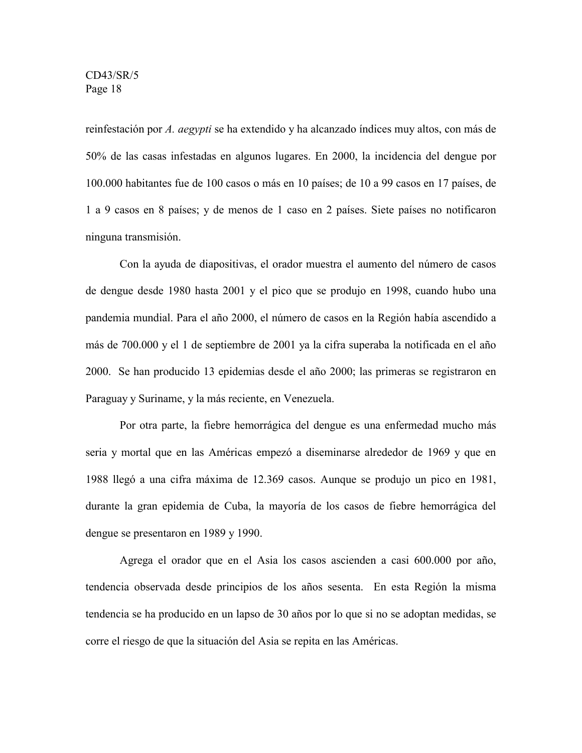reinfestación por *A. aegypti* se ha extendido y ha alcanzado índices muy altos, con más de 50% de las casas infestadas en algunos lugares. En 2000, la incidencia del dengue por 100.000 habitantes fue de 100 casos o más en 10 países; de 10 a 99 casos en 17 países, de 1 a 9 casos en 8 países; y de menos de 1 caso en 2 países. Siete países no notificaron ninguna transmisión.

Con la ayuda de diapositivas, el orador muestra el aumento del número de casos de dengue desde 1980 hasta 2001 y el pico que se produjo en 1998, cuando hubo una pandemia mundial. Para el año 2000, el número de casos en la Región había ascendido a más de 700.000 y el 1 de septiembre de 2001 ya la cifra superaba la notificada en el año 2000. Se han producido 13 epidemias desde el año 2000; las primeras se registraron en Paraguay y Suriname, y la más reciente, en Venezuela.

Por otra parte, la fiebre hemorrágica del dengue es una enfermedad mucho más seria y mortal que en las Américas empezó a diseminarse alrededor de 1969 y que en 1988 llegó a una cifra máxima de 12.369 casos. Aunque se produjo un pico en 1981, durante la gran epidemia de Cuba, la mayoría de los casos de fiebre hemorrágica del dengue se presentaron en 1989 y 1990.

Agrega el orador que en el Asia los casos ascienden a casi 600.000 por año, tendencia observada desde principios de los años sesenta. En esta Región la misma tendencia se ha producido en un lapso de 30 años por lo que si no se adoptan medidas, se corre el riesgo de que la situación del Asia se repita en las Américas.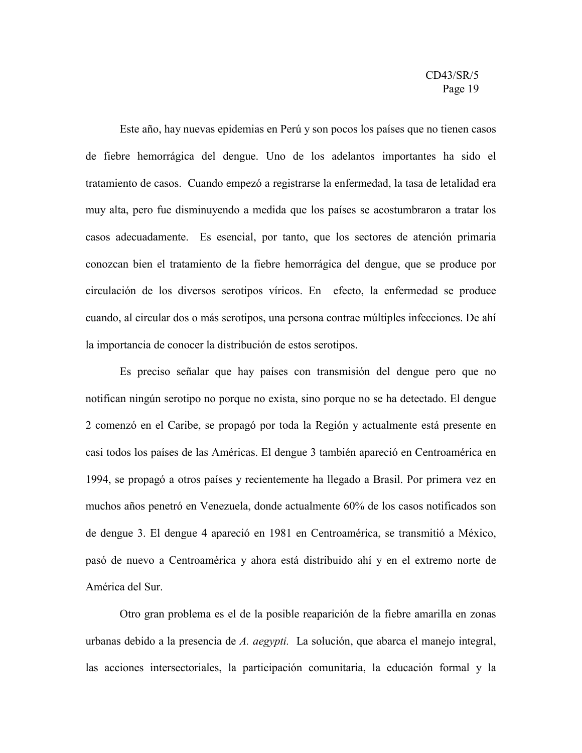Este año, hay nuevas epidemias en Perú y son pocos los países que no tienen casos de fiebre hemorrágica del dengue. Uno de los adelantos importantes ha sido el tratamiento de casos. Cuando empezó a registrarse la enfermedad, la tasa de letalidad era muy alta, pero fue disminuyendo a medida que los países se acostumbraron a tratar los casos adecuadamente. Es esencial, por tanto, que los sectores de atención primaria conozcan bien el tratamiento de la fiebre hemorrágica del dengue, que se produce por circulación de los diversos serotipos víricos. En efecto, la enfermedad se produce cuando, al circular dos o más serotipos, una persona contrae múltiples infecciones. De ahí la importancia de conocer la distribución de estos serotipos.

Es preciso señalar que hay países con transmisión del dengue pero que no notifican ningún serotipo no porque no exista, sino porque no se ha detectado. El dengue 2 comenzó en el Caribe, se propagó por toda la Región y actualmente está presente en casi todos los países de las Américas. El dengue 3 también apareció en Centroamérica en 1994, se propagó a otros países y recientemente ha llegado a Brasil. Por primera vez en muchos años penetró en Venezuela, donde actualmente 60% de los casos notificados son de dengue 3. El dengue 4 apareció en 1981 en Centroamérica, se transmitió a México, pasó de nuevo a Centroamérica y ahora está distribuido ahí y en el extremo norte de América del Sur.

Otro gran problema es el de la posible reaparición de la fiebre amarilla en zonas urbanas debido a la presencia de *A. aegypti.* La solución, que abarca el manejo integral, las acciones intersectoriales, la participación comunitaria, la educación formal y la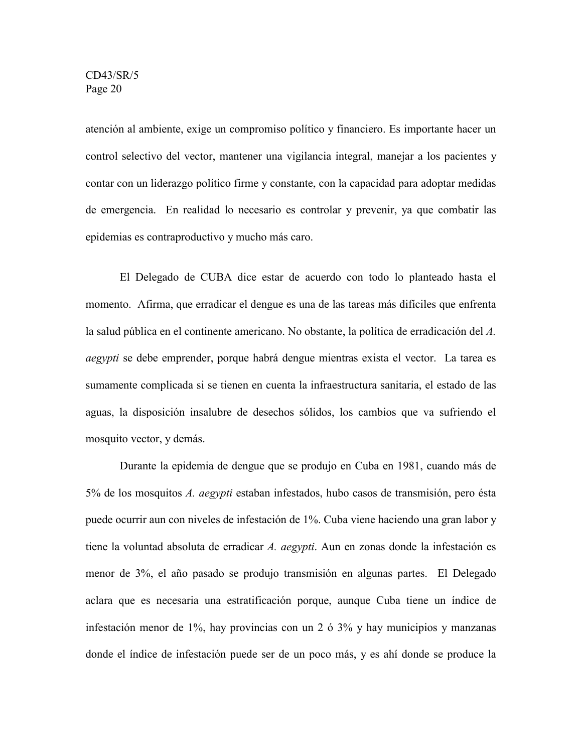atención al ambiente, exige un compromiso político y financiero. Es importante hacer un control selectivo del vector, mantener una vigilancia integral, manejar a los pacientes y contar con un liderazgo político firme y constante, con la capacidad para adoptar medidas de emergencia. En realidad lo necesario es controlar y prevenir, ya que combatir las epidemias es contraproductivo y mucho más caro.

El Delegado de CUBA dice estar de acuerdo con todo lo planteado hasta el momento. Afirma, que erradicar el dengue es una de las tareas más difíciles que enfrenta la salud pública en el continente americano. No obstante, la política de erradicación del *A. aegypti* se debe emprender, porque habrá dengue mientras exista el vector. La tarea es sumamente complicada si se tienen en cuenta la infraestructura sanitaria, el estado de las aguas, la disposición insalubre de desechos sólidos, los cambios que va sufriendo el mosquito vector, y demás.

Durante la epidemia de dengue que se produjo en Cuba en 1981, cuando más de 5% de los mosquitos *A. aegypti* estaban infestados, hubo casos de transmisión, pero ésta puede ocurrir aun con niveles de infestación de 1%. Cuba viene haciendo una gran labor y tiene la voluntad absoluta de erradicar *A. aegypti*. Aun en zonas donde la infestación es menor de 3%, el año pasado se produjo transmisión en algunas partes. El Delegado aclara que es necesaria una estratificación porque, aunque Cuba tiene un índice de infestación menor de 1%, hay provincias con un 2 ó 3% y hay municipios y manzanas donde el índice de infestación puede ser de un poco más, y es ahí donde se produce la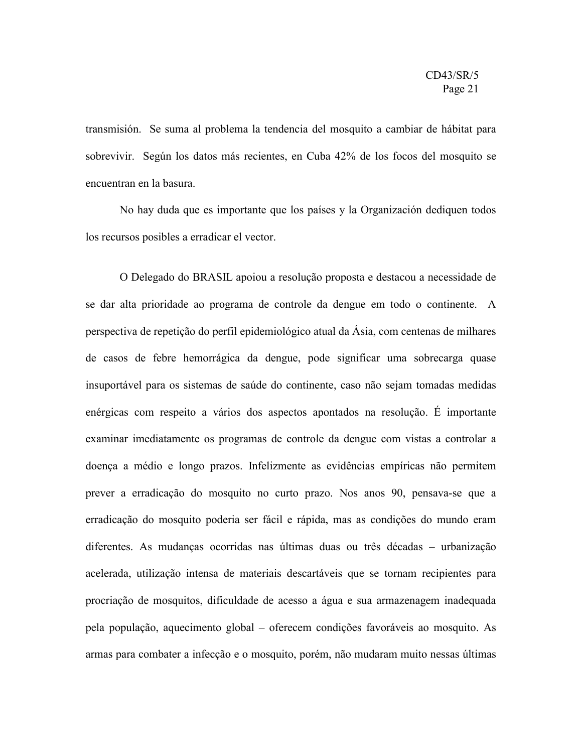transmisión. Se suma al problema la tendencia del mosquito a cambiar de hábitat para sobrevivir. Según los datos más recientes, en Cuba 42% de los focos del mosquito se encuentran en la basura.

No hay duda que es importante que los países y la Organización dediquen todos los recursos posibles a erradicar el vector.

O Delegado do BRASIL apoiou a resolução proposta e destacou a necessidade de se dar alta prioridade ao programa de controle da dengue em todo o continente. A perspectiva de repetição do perfil epidemiológico atual da Ásia, com centenas de milhares de casos de febre hemorrágica da dengue, pode significar uma sobrecarga quase insuportável para os sistemas de saúde do continente, caso não sejam tomadas medidas enérgicas com respeito a vários dos aspectos apontados na resolução. É importante examinar imediatamente os programas de controle da dengue com vistas a controlar a doença a médio e longo prazos. Infelizmente as evidências empíricas não permitem prever a erradicação do mosquito no curto prazo. Nos anos 90, pensava-se que a erradicação do mosquito poderia ser fácil e rápida, mas as condições do mundo eram diferentes. As mudanças ocorridas nas últimas duas ou três décadas – urbanização acelerada, utilização intensa de materiais descartáveis que se tornam recipientes para procriação de mosquitos, dificuldade de acesso a água e sua armazenagem inadequada pela população, aquecimento global – oferecem condições favoráveis ao mosquito. As armas para combater a infecção e o mosquito, porém, não mudaram muito nessas últimas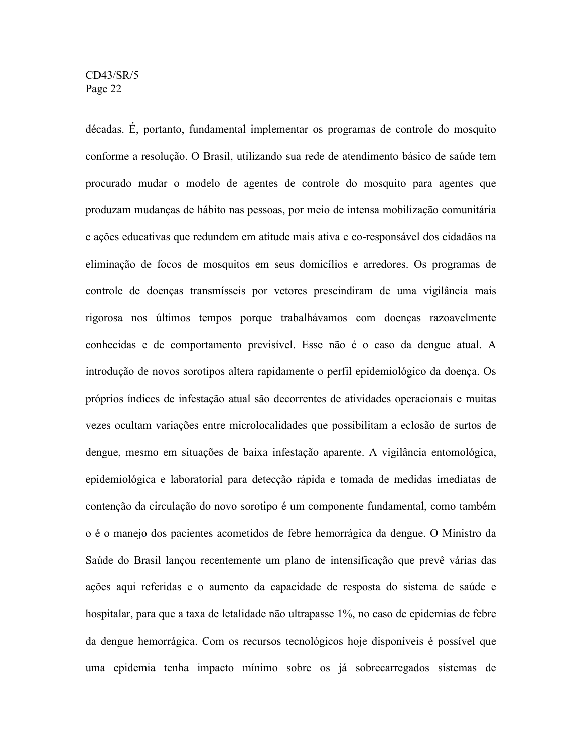décadas. É, portanto, fundamental implementar os programas de controle do mosquito conforme a resolução. O Brasil, utilizando sua rede de atendimento básico de saúde tem procurado mudar o modelo de agentes de controle do mosquito para agentes que produzam mudanças de hábito nas pessoas, por meio de intensa mobilização comunitária e ações educativas que redundem em atitude mais ativa e co-responsável dos cidadãos na eliminação de focos de mosquitos em seus domicílios e arredores. Os programas de controle de doenças transmísseis por vetores prescindiram de uma vigilância mais rigorosa nos últimos tempos porque trabalhávamos com doenças razoavelmente conhecidas e de comportamento previsível. Esse não é o caso da dengue atual. A introdução de novos sorotipos altera rapidamente o perfil epidemiológico da doença. Os próprios índices de infestação atual são decorrentes de atividades operacionais e muitas vezes ocultam variações entre microlocalidades que possibilitam a eclosão de surtos de dengue, mesmo em situações de baixa infestação aparente. A vigilância entomológica, epidemiológica e laboratorial para detecção rápida e tomada de medidas imediatas de contenção da circulação do novo sorotipo é um componente fundamental, como também o é o manejo dos pacientes acometidos de febre hemorrágica da dengue. O Ministro da Saúde do Brasil lançou recentemente um plano de intensificação que prevê várias das ações aqui referidas e o aumento da capacidade de resposta do sistema de saúde e hospitalar, para que a taxa de letalidade não ultrapasse 1%, no caso de epidemias de febre da dengue hemorrágica. Com os recursos tecnológicos hoje disponíveis é possível que uma epidemia tenha impacto mínimo sobre os já sobrecarregados sistemas de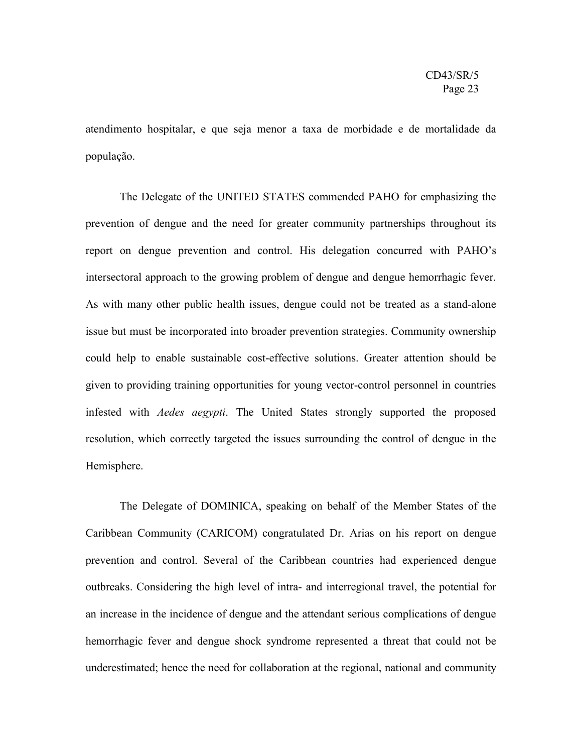atendimento hospitalar, e que seja menor a taxa de morbidade e de mortalidade da população.

The Delegate of the UNITED STATES commended PAHO for emphasizing the prevention of dengue and the need for greater community partnerships throughout its report on dengue prevention and control. His delegation concurred with PAHO's intersectoral approach to the growing problem of dengue and dengue hemorrhagic fever. As with many other public health issues, dengue could not be treated as a stand-alone issue but must be incorporated into broader prevention strategies. Community ownership could help to enable sustainable cost-effective solutions. Greater attention should be given to providing training opportunities for young vector-control personnel in countries infested with *Aedes aegypti*. The United States strongly supported the proposed resolution, which correctly targeted the issues surrounding the control of dengue in the Hemisphere.

The Delegate of DOMINICA, speaking on behalf of the Member States of the Caribbean Community (CARICOM) congratulated Dr. Arias on his report on dengue prevention and control. Several of the Caribbean countries had experienced dengue outbreaks. Considering the high level of intra- and interregional travel, the potential for an increase in the incidence of dengue and the attendant serious complications of dengue hemorrhagic fever and dengue shock syndrome represented a threat that could not be underestimated; hence the need for collaboration at the regional, national and community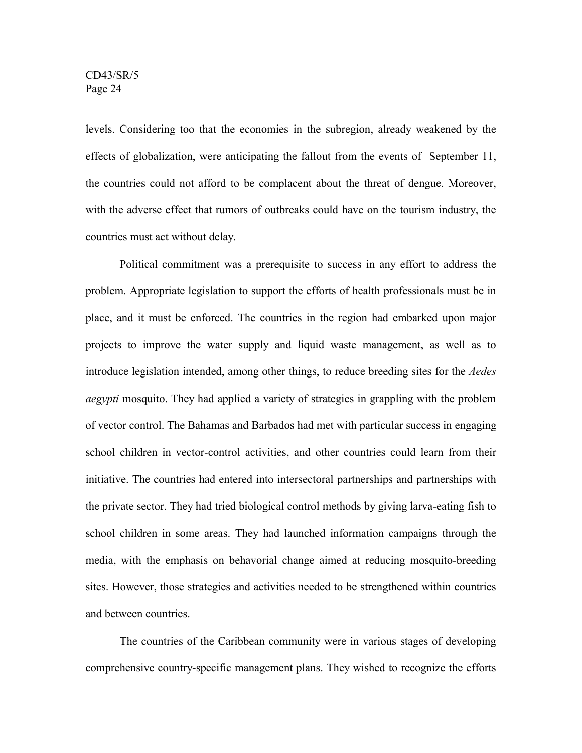levels. Considering too that the economies in the subregion, already weakened by the effects of globalization, were anticipating the fallout from the events of September 11, the countries could not afford to be complacent about the threat of dengue. Moreover, with the adverse effect that rumors of outbreaks could have on the tourism industry, the countries must act without delay.

Political commitment was a prerequisite to success in any effort to address the problem. Appropriate legislation to support the efforts of health professionals must be in place, and it must be enforced. The countries in the region had embarked upon major projects to improve the water supply and liquid waste management, as well as to introduce legislation intended, among other things, to reduce breeding sites for the *Aedes aegypti* mosquito. They had applied a variety of strategies in grappling with the problem of vector control. The Bahamas and Barbados had met with particular success in engaging school children in vector-control activities, and other countries could learn from their initiative. The countries had entered into intersectoral partnerships and partnerships with the private sector. They had tried biological control methods by giving larva-eating fish to school children in some areas. They had launched information campaigns through the media, with the emphasis on behavorial change aimed at reducing mosquito-breeding sites. However, those strategies and activities needed to be strengthened within countries and between countries.

The countries of the Caribbean community were in various stages of developing comprehensive country-specific management plans. They wished to recognize the efforts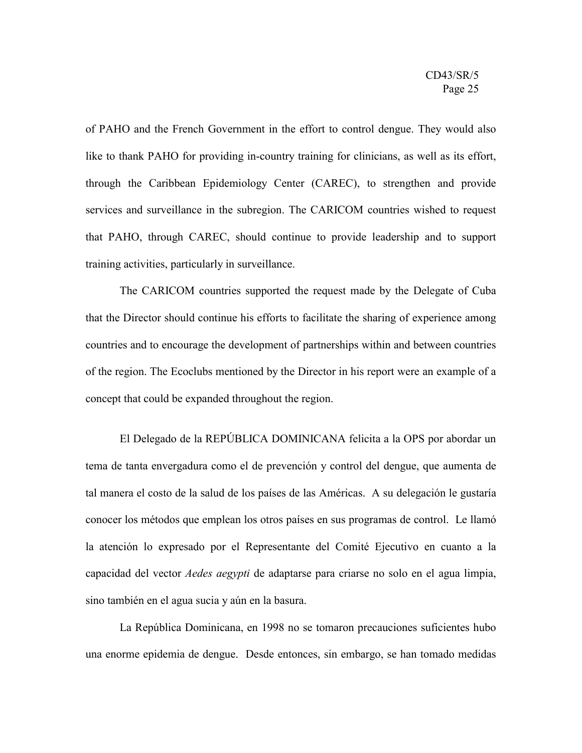of PAHO and the French Government in the effort to control dengue. They would also like to thank PAHO for providing in-country training for clinicians, as well as its effort, through the Caribbean Epidemiology Center (CAREC), to strengthen and provide services and surveillance in the subregion. The CARICOM countries wished to request that PAHO, through CAREC, should continue to provide leadership and to support training activities, particularly in surveillance.

The CARICOM countries supported the request made by the Delegate of Cuba that the Director should continue his efforts to facilitate the sharing of experience among countries and to encourage the development of partnerships within and between countries of the region. The Ecoclubs mentioned by the Director in his report were an example of a concept that could be expanded throughout the region.

El Delegado de la REPÚBLICA DOMINICANA felicita a la OPS por abordar un tema de tanta envergadura como el de prevención y control del dengue, que aumenta de tal manera el costo de la salud de los países de las Américas. A su delegación le gustaría conocer los métodos que emplean los otros países en sus programas de control. Le llamó la atención lo expresado por el Representante del Comité Ejecutivo en cuanto a la capacidad del vector *Aedes aegypti* de adaptarse para criarse no solo en el agua limpia, sino también en el agua sucia y aún en la basura.

La República Dominicana, en 1998 no se tomaron precauciones suficientes hubo una enorme epidemia de dengue. Desde entonces, sin embargo, se han tomado medidas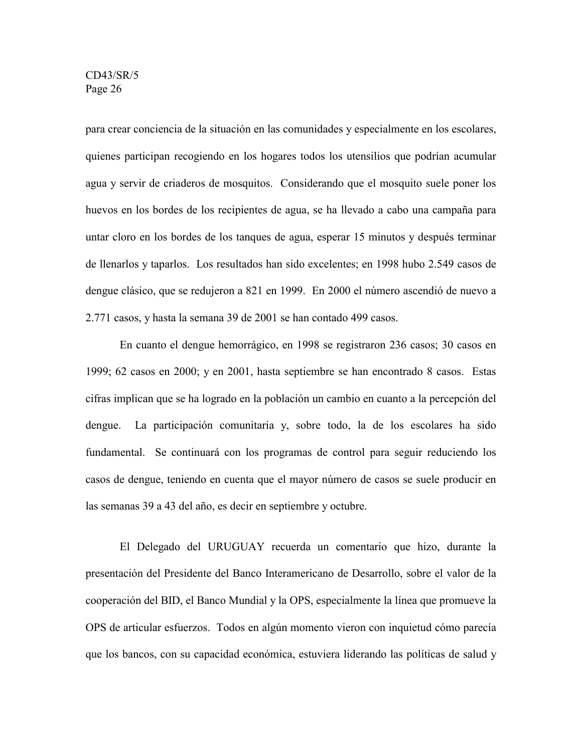para crear conciencia de la situación en las comunidades y especialmente en los escolares, quienes participan recogiendo en los hogares todos los utensilios que podrían acumular agua y servir de criaderos de mosquitos. Considerando que el mosquito suele poner los huevos en los bordes de los recipientes de agua, se ha llevado a cabo una campaña para untar cloro en los bordes de los tanques de agua, esperar 15 minutos y después terminar de llenarlos y taparlos. Los resultados han sido excelentes; en 1998 hubo 2.549 casos de dengue clásico, que se redujeron a 821 en 1999. En 2000 el número ascendió de nuevo a 2.771 casos, y hasta la semana 39 de 2001 se han contado 499 casos.

En cuanto el dengue hemorrágico, en 1998 se registraron 236 casos; 30 casos en 1999; 62 casos en 2000; y en 2001, hasta septiembre se han encontrado 8 casos. Estas cifras implican que se ha logrado en la población un cambio en cuanto a la percepción del dengue. La participación comunitaria y, sobre todo, la de los escolares ha sido fundamental. Se continuará con los programas de control para seguir reduciendo los casos de dengue, teniendo en cuenta que el mayor número de casos se suele producir en las semanas 39 a 43 del año, es decir en septiembre y octubre.

El Delegado del URUGUAY recuerda un comentario que hizo, durante la presentación del Presidente del Banco Interamericano de Desarrollo, sobre el valor de la cooperación del BID, el Banco Mundial y la OPS, especialmente la línea que promueve la OPS de articular esfuerzos. Todos en algún momento vieron con inquietud cómo parecía que los bancos, con su capacidad económica, estuviera liderando las políticas de salud y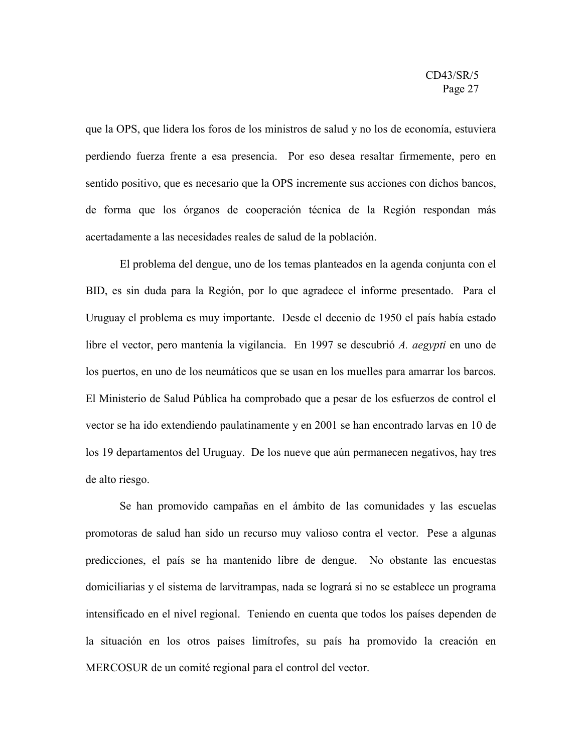que la OPS, que lidera los foros de los ministros de salud y no los de economía, estuviera perdiendo fuerza frente a esa presencia. Por eso desea resaltar firmemente, pero en sentido positivo, que es necesario que la OPS incremente sus acciones con dichos bancos, de forma que los órganos de cooperación técnica de la Región respondan más acertadamente a las necesidades reales de salud de la población.

El problema del dengue, uno de los temas planteados en la agenda conjunta con el BID, es sin duda para la Región, por lo que agradece el informe presentado. Para el Uruguay el problema es muy importante. Desde el decenio de 1950 el país había estado libre el vector, pero mantenía la vigilancia. En 1997 se descubrió *A. aegypti* en uno de los puertos, en uno de los neumáticos que se usan en los muelles para amarrar los barcos. El Ministerio de Salud Pública ha comprobado que a pesar de los esfuerzos de control el vector se ha ido extendiendo paulatinamente y en 2001 se han encontrado larvas en 10 de los 19 departamentos del Uruguay. De los nueve que aún permanecen negativos, hay tres de alto riesgo.

Se han promovido campañas en el ámbito de las comunidades y las escuelas promotoras de salud han sido un recurso muy valioso contra el vector. Pese a algunas predicciones, el país se ha mantenido libre de dengue. No obstante las encuestas domiciliarias y el sistema de larvitrampas, nada se logrará si no se establece un programa intensificado en el nivel regional. Teniendo en cuenta que todos los países dependen de la situación en los otros países limítrofes, su país ha promovido la creación en MERCOSUR de un comité regional para el control del vector.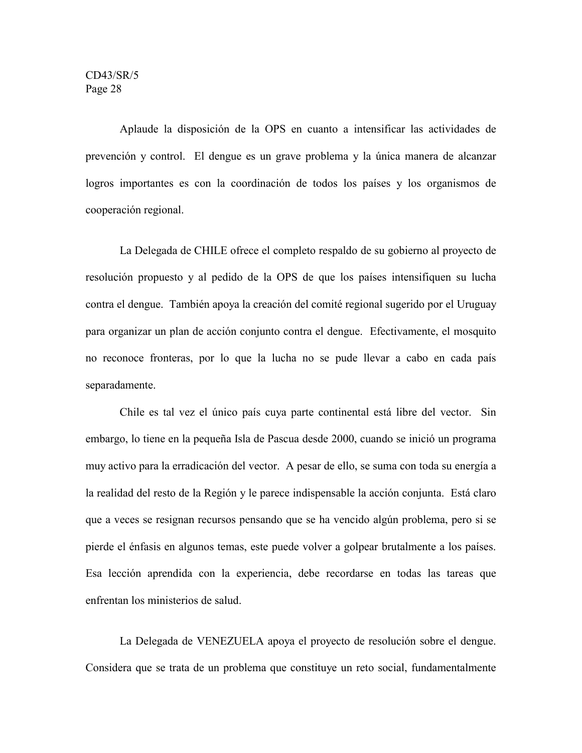Aplaude la disposición de la OPS en cuanto a intensificar las actividades de prevención y control. El dengue es un grave problema y la única manera de alcanzar logros importantes es con la coordinación de todos los países y los organismos de cooperación regional.

La Delegada de CHILE ofrece el completo respaldo de su gobierno al proyecto de resolución propuesto y al pedido de la OPS de que los países intensifiquen su lucha contra el dengue. También apoya la creación del comité regional sugerido por el Uruguay para organizar un plan de acción conjunto contra el dengue. Efectivamente, el mosquito no reconoce fronteras, por lo que la lucha no se pude llevar a cabo en cada país separadamente.

Chile es tal vez el único país cuya parte continental está libre del vector. Sin embargo, lo tiene en la pequeña Isla de Pascua desde 2000, cuando se inició un programa muy activo para la erradicación del vector. A pesar de ello, se suma con toda su energía a la realidad del resto de la Región y le parece indispensable la acción conjunta. Está claro que a veces se resignan recursos pensando que se ha vencido algún problema, pero si se pierde el énfasis en algunos temas, este puede volver a golpear brutalmente a los países. Esa lección aprendida con la experiencia, debe recordarse en todas las tareas que enfrentan los ministerios de salud.

La Delegada de VENEZUELA apoya el proyecto de resolución sobre el dengue. Considera que se trata de un problema que constituye un reto social, fundamentalmente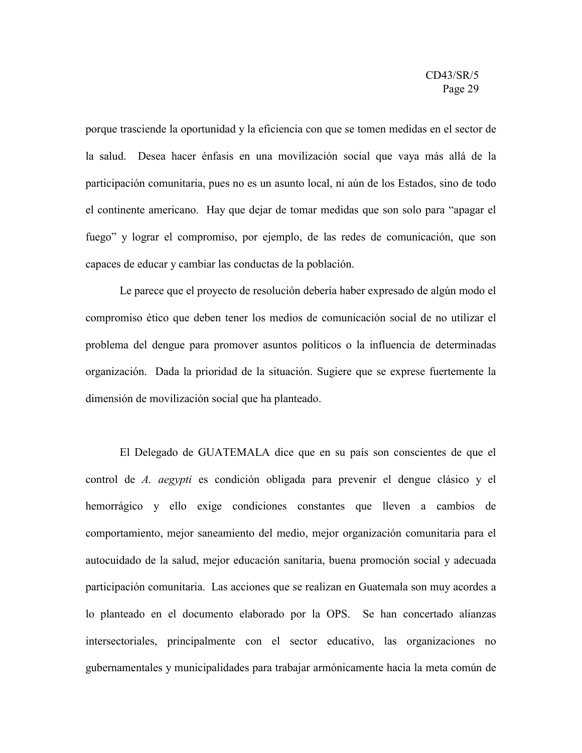porque trasciende la oportunidad y la eficiencia con que se tomen medidas en el sector de la salud. Desea hacer énfasis en una movilización social que vaya más allá de la participación comunitaria, pues no es un asunto local, ni aún de los Estados, sino de todo el continente americano. Hay que dejar de tomar medidas que son solo para "apagar el fuego" y lograr el compromiso, por ejemplo, de las redes de comunicación, que son capaces de educar y cambiar las conductas de la población.

Le parece que el proyecto de resolución debería haber expresado de algún modo el compromiso ético que deben tener los medios de comunicación social de no utilizar el problema del dengue para promover asuntos políticos o la influencia de determinadas organización. Dada la prioridad de la situación. Sugiere que se exprese fuertemente la dimensión de movilización social que ha planteado.

El Delegado de GUATEMALA dice que en su país son conscientes de que el control de *A. aegypti* es condición obligada para prevenir el dengue clásico y el hemorrágico y ello exige condiciones constantes que lleven a cambios de comportamiento, mejor saneamiento del medio, mejor organización comunitaria para el autocuidado de la salud, mejor educación sanitaria, buena promoción social y adecuada participación comunitaria. Las acciones que se realizan en Guatemala son muy acordes a lo planteado en el documento elaborado por la OPS. Se han concertado alianzas intersectoriales, principalmente con el sector educativo, las organizaciones no gubernamentales y municipalidades para trabajar armónicamente hacia la meta común de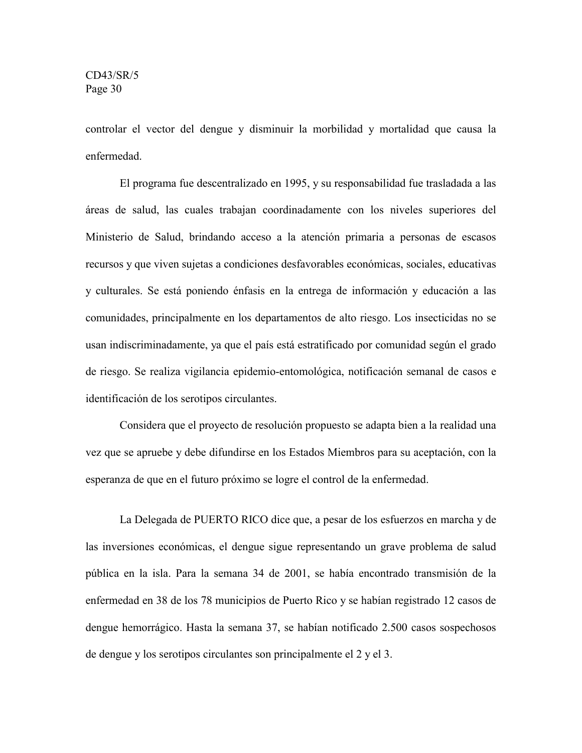controlar el vector del dengue y disminuir la morbilidad y mortalidad que causa la enfermedad.

El programa fue descentralizado en 1995, y su responsabilidad fue trasladada a las áreas de salud, las cuales trabajan coordinadamente con los niveles superiores del Ministerio de Salud, brindando acceso a la atención primaria a personas de escasos recursos y que viven sujetas a condiciones desfavorables económicas, sociales, educativas y culturales. Se está poniendo énfasis en la entrega de información y educación a las comunidades, principalmente en los departamentos de alto riesgo. Los insecticidas no se usan indiscriminadamente, ya que el país está estratificado por comunidad según el grado de riesgo. Se realiza vigilancia epidemio-entomológica, notificación semanal de casos e identificación de los serotipos circulantes.

Considera que el proyecto de resolución propuesto se adapta bien a la realidad una vez que se apruebe y debe difundirse en los Estados Miembros para su aceptación, con la esperanza de que en el futuro próximo se logre el control de la enfermedad.

La Delegada de PUERTO RICO dice que, a pesar de los esfuerzos en marcha y de las inversiones económicas, el dengue sigue representando un grave problema de salud pública en la isla. Para la semana 34 de 2001, se había encontrado transmisión de la enfermedad en 38 de los 78 municipios de Puerto Rico y se habían registrado 12 casos de dengue hemorrágico. Hasta la semana 37, se habían notificado 2.500 casos sospechosos de dengue y los serotipos circulantes son principalmente el 2 y el 3.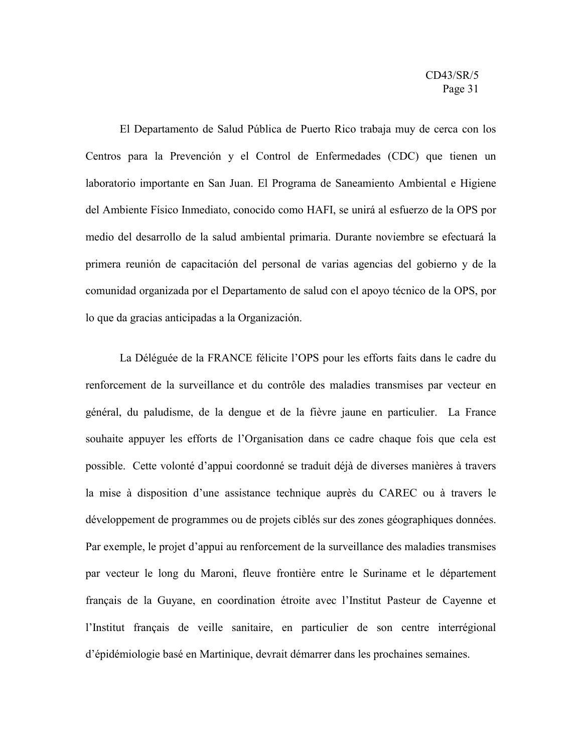El Departamento de Salud Pública de Puerto Rico trabaja muy de cerca con los Centros para la Prevención y el Control de Enfermedades (CDC) que tienen un laboratorio importante en San Juan. El Programa de Saneamiento Ambiental e Higiene del Ambiente Físico Inmediato, conocido como HAFI, se unirá al esfuerzo de la OPS por medio del desarrollo de la salud ambiental primaria. Durante noviembre se efectuará la primera reunión de capacitación del personal de varias agencias del gobierno y de la comunidad organizada por el Departamento de salud con el apoyo técnico de la OPS, por lo que da gracias anticipadas a la Organización.

La Déléguée de la FRANCE félicite l'OPS pour les efforts faits dans le cadre du renforcement de la surveillance et du contrôle des maladies transmises par vecteur en général, du paludisme, de la dengue et de la fièvre jaune en particulier. La France souhaite appuyer les efforts de l'Organisation dans ce cadre chaque fois que cela est possible. Cette volonté d'appui coordonné se traduit déjà de diverses manières à travers la mise à disposition d'une assistance technique auprès du CAREC ou à travers le développement de programmes ou de projets ciblés sur des zones géographiques données. Par exemple, le projet d'appui au renforcement de la surveillance des maladies transmises par vecteur le long du Maroni, fleuve frontière entre le Suriname et le département français de la Guyane, en coordination étroite avec l'Institut Pasteur de Cayenne et l'Institut français de veille sanitaire, en particulier de son centre interrégional d'épidémiologie basé en Martinique, devrait démarrer dans les prochaines semaines.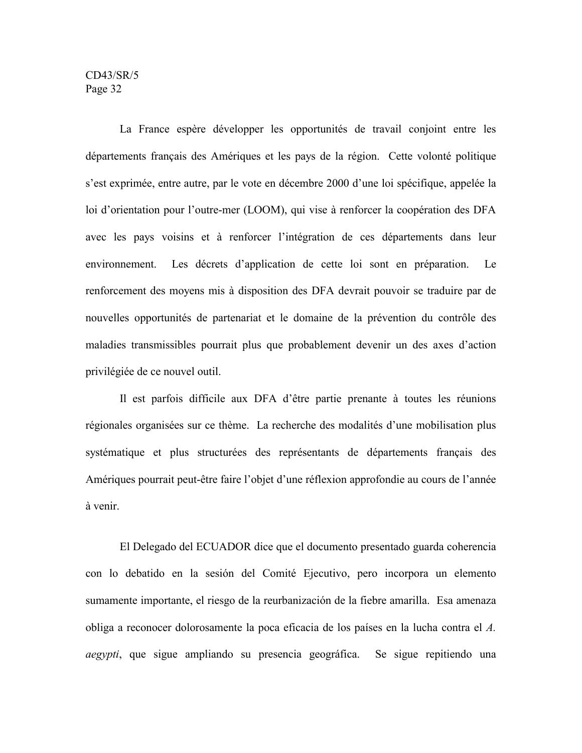La France espère développer les opportunités de travail conjoint entre les départements français des Amériques et les pays de la région. Cette volonté politique s'est exprimée, entre autre, par le vote en décembre 2000 d'une loi spécifique, appelée la loi d'orientation pour l'outre-mer (LOOM), qui vise à renforcer la coopération des DFA avec les pays voisins et à renforcer l'intégration de ces départements dans leur environnement. Les décrets d'application de cette loi sont en préparation. Le renforcement des moyens mis à disposition des DFA devrait pouvoir se traduire par de nouvelles opportunités de partenariat et le domaine de la prévention du contrôle des maladies transmissibles pourrait plus que probablement devenir un des axes d'action privilégiée de ce nouvel outil.

Il est parfois difficile aux DFA d'être partie prenante à toutes les réunions régionales organisées sur ce thème. La recherche des modalités d'une mobilisation plus systématique et plus structurées des représentants de départements français des Amériques pourrait peut-être faire l'objet d'une réflexion approfondie au cours de l'année à venir.

El Delegado del ECUADOR dice que el documento presentado guarda coherencia con lo debatido en la sesión del Comité Ejecutivo, pero incorpora un elemento sumamente importante, el riesgo de la reurbanización de la fiebre amarilla. Esa amenaza obliga a reconocer dolorosamente la poca eficacia de los países en la lucha contra el *A. aegypti*, que sigue ampliando su presencia geográfica. Se sigue repitiendo una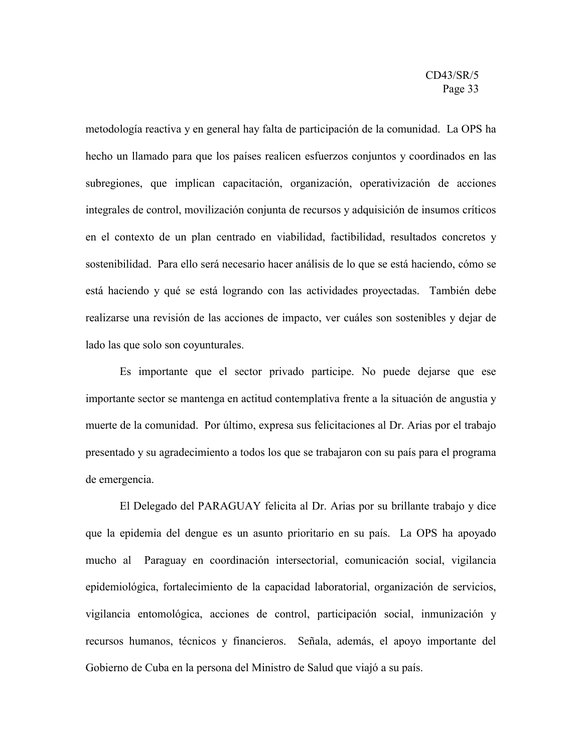metodología reactiva y en general hay falta de participación de la comunidad. La OPS ha hecho un llamado para que los países realicen esfuerzos conjuntos y coordinados en las subregiones, que implican capacitación, organización, operativización de acciones integrales de control, movilización conjunta de recursos y adquisición de insumos críticos en el contexto de un plan centrado en viabilidad, factibilidad, resultados concretos y sostenibilidad. Para ello será necesario hacer análisis de lo que se está haciendo, cómo se está haciendo y qué se está logrando con las actividades proyectadas. También debe realizarse una revisión de las acciones de impacto, ver cuáles son sostenibles y dejar de lado las que solo son coyunturales.

Es importante que el sector privado participe. No puede dejarse que ese importante sector se mantenga en actitud contemplativa frente a la situación de angustia y muerte de la comunidad. Por último, expresa sus felicitaciones al Dr. Arias por el trabajo presentado y su agradecimiento a todos los que se trabajaron con su país para el programa de emergencia.

El Delegado del PARAGUAY felicita al Dr. Arias por su brillante trabajo y dice que la epidemia del dengue es un asunto prioritario en su país. La OPS ha apoyado mucho al Paraguay en coordinación intersectorial, comunicación social, vigilancia epidemiológica, fortalecimiento de la capacidad laboratorial, organización de servicios, vigilancia entomológica, acciones de control, participación social, inmunización y recursos humanos, técnicos y financieros. Señala, además, el apoyo importante del Gobierno de Cuba en la persona del Ministro de Salud que viajó a su país.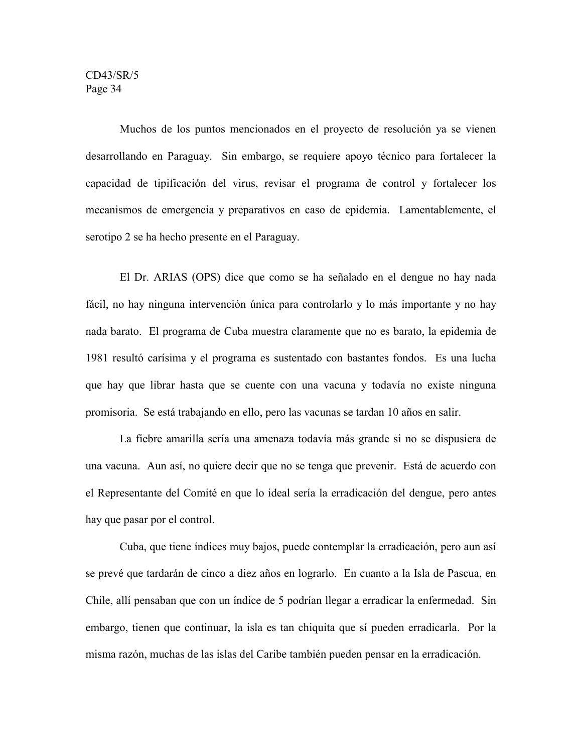Muchos de los puntos mencionados en el proyecto de resolución ya se vienen desarrollando en Paraguay. Sin embargo, se requiere apoyo técnico para fortalecer la capacidad de tipificación del virus, revisar el programa de control y fortalecer los mecanismos de emergencia y preparativos en caso de epidemia. Lamentablemente, el serotipo 2 se ha hecho presente en el Paraguay.

El Dr. ARIAS (OPS) dice que como se ha señalado en el dengue no hay nada fácil, no hay ninguna intervención única para controlarlo y lo más importante y no hay nada barato. El programa de Cuba muestra claramente que no es barato, la epidemia de 1981 resultó carísima y el programa es sustentado con bastantes fondos. Es una lucha que hay que librar hasta que se cuente con una vacuna y todavía no existe ninguna promisoria. Se está trabajando en ello, pero las vacunas se tardan 10 años en salir.

La fiebre amarilla sería una amenaza todavía más grande si no se dispusiera de una vacuna. Aun así, no quiere decir que no se tenga que prevenir. Está de acuerdo con el Representante del Comité en que lo ideal sería la erradicación del dengue, pero antes hay que pasar por el control.

Cuba, que tiene índices muy bajos, puede contemplar la erradicación, pero aun así se prevé que tardarán de cinco a diez años en lograrlo. En cuanto a la Isla de Pascua, en Chile, allí pensaban que con un índice de 5 podrían llegar a erradicar la enfermedad. Sin embargo, tienen que continuar, la isla es tan chiquita que sí pueden erradicarla. Por la misma razón, muchas de las islas del Caribe también pueden pensar en la erradicación.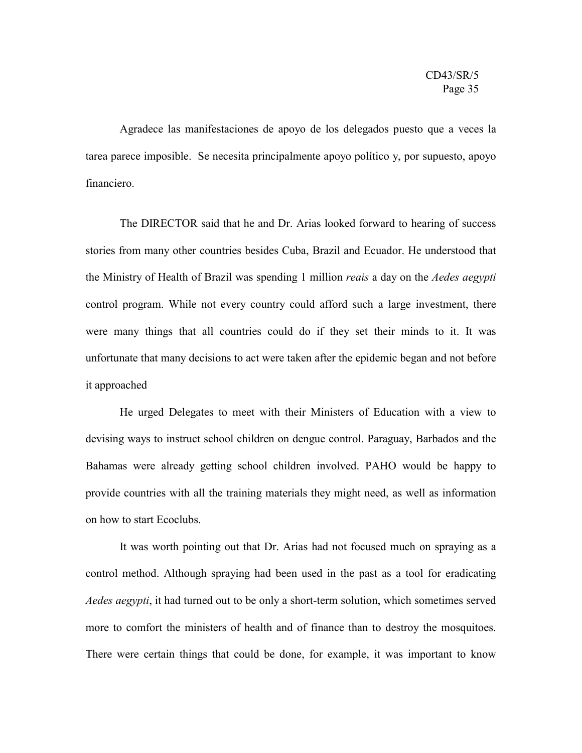Agradece las manifestaciones de apoyo de los delegados puesto que a veces la tarea parece imposible. Se necesita principalmente apoyo político y, por supuesto, apoyo financiero.

The DIRECTOR said that he and Dr. Arias looked forward to hearing of success stories from many other countries besides Cuba, Brazil and Ecuador. He understood that the Ministry of Health of Brazil was spending 1 million *reais* a day on the *Aedes aegypti* control program. While not every country could afford such a large investment, there were many things that all countries could do if they set their minds to it. It was unfortunate that many decisions to act were taken after the epidemic began and not before it approached

He urged Delegates to meet with their Ministers of Education with a view to devising ways to instruct school children on dengue control. Paraguay, Barbados and the Bahamas were already getting school children involved. PAHO would be happy to provide countries with all the training materials they might need, as well as information on how to start Ecoclubs.

It was worth pointing out that Dr. Arias had not focused much on spraying as a control method. Although spraying had been used in the past as a tool for eradicating *Aedes aegypti*, it had turned out to be only a short-term solution, which sometimes served more to comfort the ministers of health and of finance than to destroy the mosquitoes. There were certain things that could be done, for example, it was important to know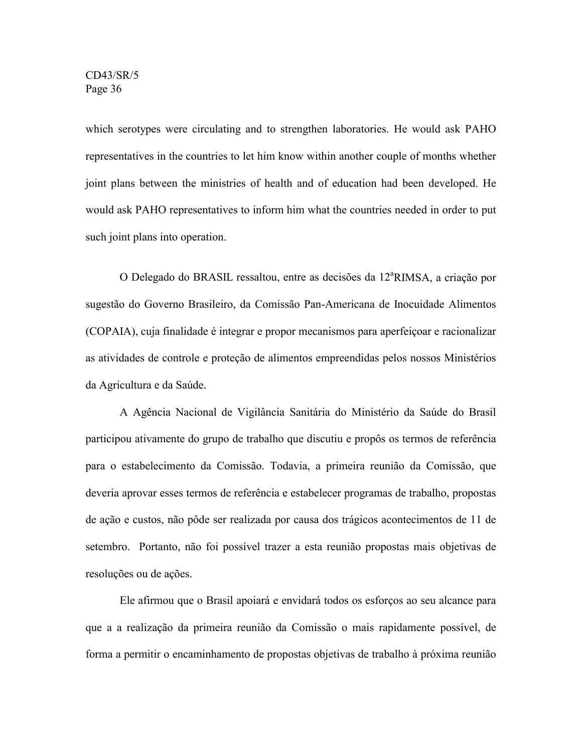which serotypes were circulating and to strengthen laboratories. He would ask PAHO representatives in the countries to let him know within another couple of months whether joint plans between the ministries of health and of education had been developed. He would ask PAHO representatives to inform him what the countries needed in order to put such joint plans into operation.

O Delegado do BRASIL ressaltou, entre as decisões da 12<sup>ª</sup>RIMSA, a criação por sugestão do Governo Brasileiro, da Comissão Pan-Americana de Inocuidade Alimentos (COPAIA), cuja finalidade é integrar e propor mecanismos para aperfeiçoar e racionalizar as atividades de controle e proteção de alimentos empreendidas pelos nossos Ministérios da Agricultura e da Saúde.

A Agência Nacional de Vigilância Sanitária do Ministério da Saúde do Brasil participou ativamente do grupo de trabalho que discutiu e propôs os termos de referência para o estabelecimento da Comissão. Todavia, a primeira reunião da Comissão, que deveria aprovar esses termos de referência e estabelecer programas de trabalho, propostas de ação e custos, não pôde ser realizada por causa dos trágicos acontecimentos de 11 de setembro. Portanto, não foi possível trazer a esta reunião propostas mais objetivas de resoluções ou de ações.

Ele afirmou que o Brasil apoiará e envidará todos os esforços ao seu alcance para que a a realização da primeira reunião da Comissão o mais rapidamente possível, de forma a permitir o encaminhamento de propostas objetivas de trabalho à próxima reunião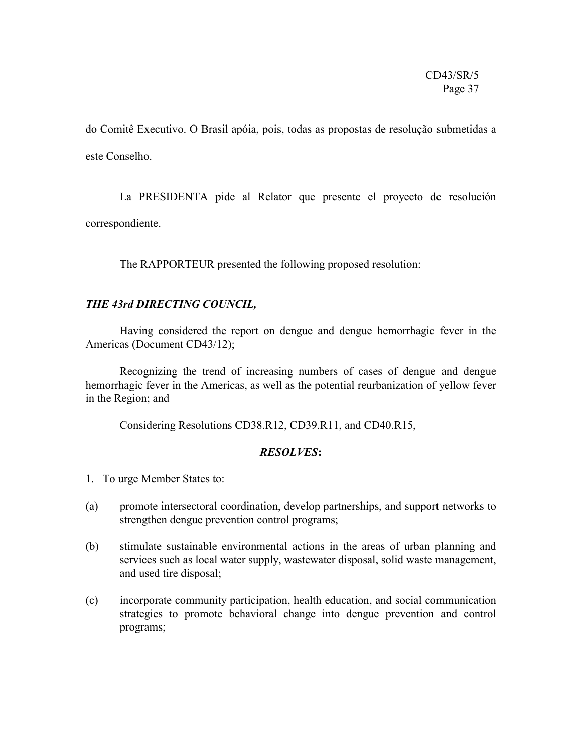do Comitê Executivo. O Brasil apóia, pois, todas as propostas de resolução submetidas a este Conselho.

La PRESIDENTA pide al Relator que presente el proyecto de resolución correspondiente.

The RAPPORTEUR presented the following proposed resolution:

# *THE 43rd DIRECTING COUNCIL,*

Having considered the report on dengue and dengue hemorrhagic fever in the Americas (Document CD43/12);

Recognizing the trend of increasing numbers of cases of dengue and dengue hemorrhagic fever in the Americas, as well as the potential reurbanization of yellow fever in the Region; and

Considering Resolutions CD38.R12, CD39.R11, and CD40.R15,

# *RESOLVES***:**

- 1. To urge Member States to:
- (a) promote intersectoral coordination, develop partnerships, and support networks to strengthen dengue prevention control programs;
- (b) stimulate sustainable environmental actions in the areas of urban planning and services such as local water supply, wastewater disposal, solid waste management, and used tire disposal;
- (c) incorporate community participation, health education, and social communication strategies to promote behavioral change into dengue prevention and control programs;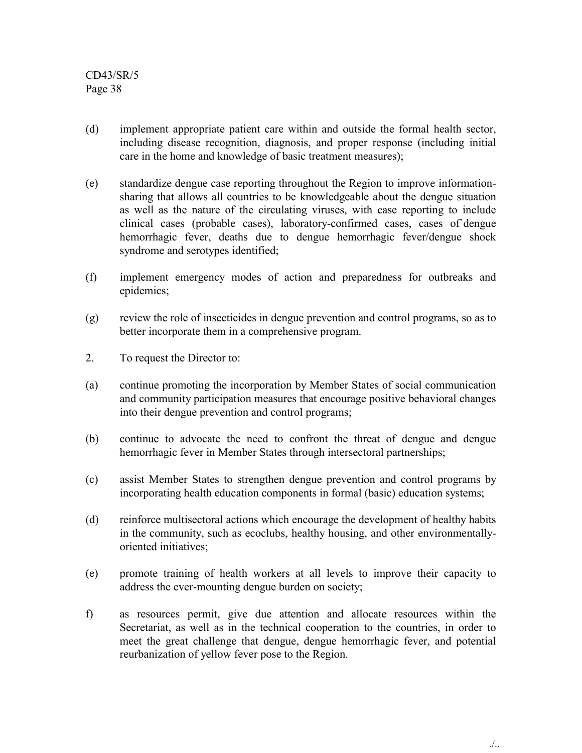- (d) implement appropriate patient care within and outside the formal health sector, including disease recognition, diagnosis, and proper response (including initial care in the home and knowledge of basic treatment measures);
- (e) standardize dengue case reporting throughout the Region to improve informationsharing that allows all countries to be knowledgeable about the dengue situation as well as the nature of the circulating viruses, with case reporting to include clinical cases (probable cases), laboratory-confirmed cases, cases of dengue hemorrhagic fever, deaths due to dengue hemorrhagic fever/dengue shock syndrome and serotypes identified;
- (f) implement emergency modes of action and preparedness for outbreaks and epidemics;
- (g) review the role of insecticides in dengue prevention and control programs, so as to better incorporate them in a comprehensive program.
- 2. To request the Director to:
- (a) continue promoting the incorporation by Member States of social communication and community participation measures that encourage positive behavioral changes into their dengue prevention and control programs;
- (b) continue to advocate the need to confront the threat of dengue and dengue hemorrhagic fever in Member States through intersectoral partnerships;
- (c) assist Member States to strengthen dengue prevention and control programs by incorporating health education components in formal (basic) education systems;
- (d) reinforce multisectoral actions which encourage the development of healthy habits in the community, such as ecoclubs, healthy housing, and other environmentallyoriented initiatives;
- (e) promote training of health workers at all levels to improve their capacity to address the ever-mounting dengue burden on society;
- f) as resources permit, give due attention and allocate resources within the Secretariat, as well as in the technical cooperation to the countries, in order to meet the great challenge that dengue, dengue hemorrhagic fever, and potential reurbanization of yellow fever pose to the Region.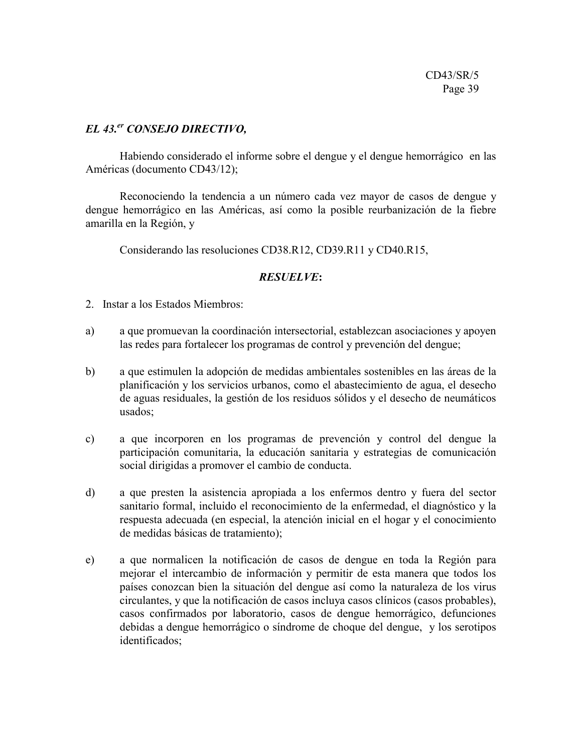# *EL 43.er CONSEJO DIRECTIVO,*

Habiendo considerado el informe sobre el dengue y el dengue hemorrágico en las Américas (documento CD43/12);

Reconociendo la tendencia a un número cada vez mayor de casos de dengue y dengue hemorrágico en las Américas, así como la posible reurbanización de la fiebre amarilla en la Región, y

Considerando las resoluciones CD38.R12, CD39.R11 y CD40.R15,

# *RESUELVE***:**

- 2. Instar a los Estados Miembros:
- a) a que promuevan la coordinación intersectorial, establezcan asociaciones y apoyen las redes para fortalecer los programas de control y prevención del dengue;
- b) a que estimulen la adopción de medidas ambientales sostenibles en las áreas de la planificación y los servicios urbanos, como el abastecimiento de agua, el desecho de aguas residuales, la gestión de los residuos sólidos y el desecho de neumáticos usados;
- c) a que incorporen en los programas de prevención y control del dengue la participación comunitaria, la educación sanitaria y estrategias de comunicación social dirigidas a promover el cambio de conducta.
- d) a que presten la asistencia apropiada a los enfermos dentro y fuera del sector sanitario formal, incluido el reconocimiento de la enfermedad, el diagnóstico y la respuesta adecuada (en especial, la atención inicial en el hogar y el conocimiento de medidas básicas de tratamiento);
- e) a que normalicen la notificación de casos de dengue en toda la Región para mejorar el intercambio de información y permitir de esta manera que todos los países conozcan bien la situación del dengue así como la naturaleza de los virus circulantes, y que la notificación de casos incluya casos clínicos (casos probables), casos confirmados por laboratorio, casos de dengue hemorrágico, defunciones debidas a dengue hemorrágico o síndrome de choque del dengue, y los serotipos identificados;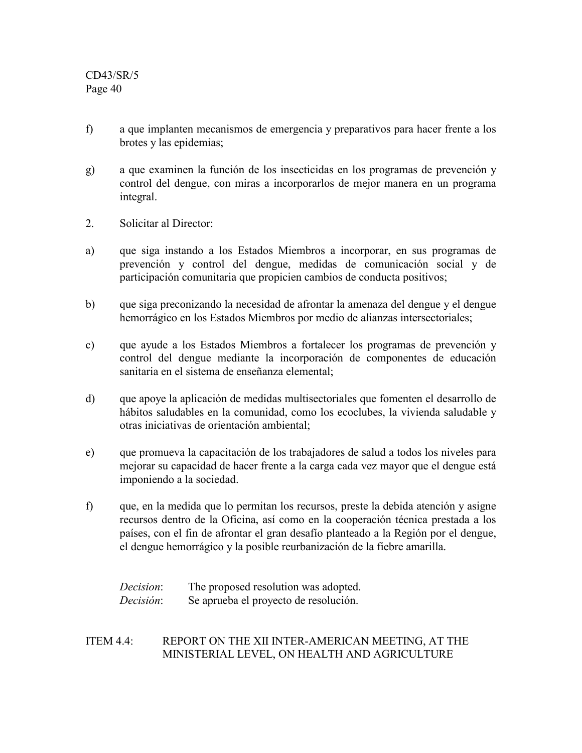- f) a que implanten mecanismos de emergencia y preparativos para hacer frente a los brotes y las epidemias;
- g) a que examinen la función de los insecticidas en los programas de prevención y control del dengue, con miras a incorporarlos de mejor manera en un programa integral.
- 2. Solicitar al Director:
- a) que siga instando a los Estados Miembros a incorporar, en sus programas de prevención y control del dengue, medidas de comunicación social y de participación comunitaria que propicien cambios de conducta positivos;
- b) que siga preconizando la necesidad de afrontar la amenaza del dengue y el dengue hemorrágico en los Estados Miembros por medio de alianzas intersectoriales;
- c) que ayude a los Estados Miembros a fortalecer los programas de prevención y control del dengue mediante la incorporación de componentes de educación sanitaria en el sistema de enseñanza elemental;
- d) que apoye la aplicación de medidas multisectoriales que fomenten el desarrollo de hábitos saludables en la comunidad, como los ecoclubes, la vivienda saludable y otras iniciativas de orientación ambiental;
- e) que promueva la capacitación de los trabajadores de salud a todos los niveles para mejorar su capacidad de hacer frente a la carga cada vez mayor que el dengue está imponiendo a la sociedad.
- f) que, en la medida que lo permitan los recursos, preste la debida atención y asigne recursos dentro de la Oficina, así como en la cooperación técnica prestada a los países, con el fin de afrontar el gran desafío planteado a la Región por el dengue, el dengue hemorrágico y la posible reurbanización de la fiebre amarilla.

| <i>Decision</i> : | The proposed resolution was adopted.  |
|-------------------|---------------------------------------|
| Decisión:         | Se aprueba el proyecto de resolución. |

# ITEM 4.4: REPORT ON THE XII INTER-AMERICAN MEETING, AT THE MINISTERIAL LEVEL, ON HEALTH AND AGRICULTURE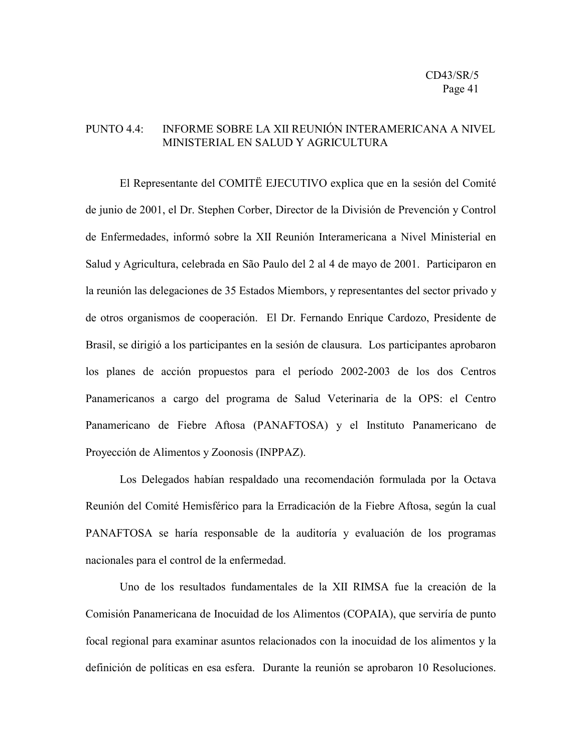### PUNTO 4.4: INFORME SOBRE LA XII REUNIÓN INTERAMERICANA A NIVEL MINISTERIAL EN SALUD Y AGRICULTURA

El Representante del COMITË EJECUTIVO explica que en la sesión del Comité de junio de 2001, el Dr. Stephen Corber, Director de la División de Prevención y Control de Enfermedades, informó sobre la XII Reunión Interamericana a Nivel Ministerial en Salud y Agricultura, celebrada en São Paulo del 2 al 4 de mayo de 2001. Participaron en la reunión las delegaciones de 35 Estados Miembors, y representantes del sector privado y de otros organismos de cooperación. El Dr. Fernando Enrique Cardozo, Presidente de Brasil, se dirigió a los participantes en la sesión de clausura. Los participantes aprobaron los planes de acción propuestos para el período 2002-2003 de los dos Centros Panamericanos a cargo del programa de Salud Veterinaria de la OPS: el Centro Panamericano de Fiebre Aftosa (PANAFTOSA) y el Instituto Panamericano de Proyección de Alimentos y Zoonosis (INPPAZ).

Los Delegados habían respaldado una recomendación formulada por la Octava Reunión del Comité Hemisférico para la Erradicación de la Fiebre Aftosa, según la cual PANAFTOSA se haría responsable de la auditoría y evaluación de los programas nacionales para el control de la enfermedad.

Uno de los resultados fundamentales de la XII RIMSA fue la creación de la Comisión Panamericana de Inocuidad de los Alimentos (COPAIA), que serviría de punto focal regional para examinar asuntos relacionados con la inocuidad de los alimentos y la definición de políticas en esa esfera. Durante la reunión se aprobaron 10 Resoluciones.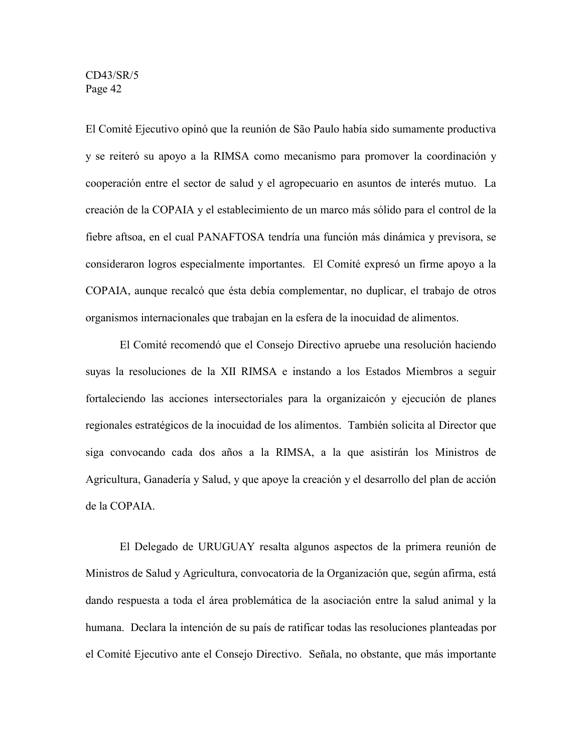El Comité Ejecutivo opinó que la reunión de São Paulo había sido sumamente productiva y se reiteró su apoyo a la RIMSA como mecanismo para promover la coordinación y cooperación entre el sector de salud y el agropecuario en asuntos de interés mutuo. La creación de la COPAIA y el establecimiento de un marco más sólido para el control de la fiebre aftsoa, en el cual PANAFTOSA tendría una función más dinámica y previsora, se consideraron logros especialmente importantes. El Comité expresó un firme apoyo a la COPAIA, aunque recalcó que ésta debía complementar, no duplicar, el trabajo de otros organismos internacionales que trabajan en la esfera de la inocuidad de alimentos.

El Comité recomendó que el Consejo Directivo apruebe una resolución haciendo suyas la resoluciones de la XII RIMSA e instando a los Estados Miembros a seguir fortaleciendo las acciones intersectoriales para la organizaicón y ejecución de planes regionales estratégicos de la inocuidad de los alimentos. También solicita al Director que siga convocando cada dos años a la RIMSA, a la que asistirán los Ministros de Agricultura, Ganadería y Salud, y que apoye la creación y el desarrollo del plan de acción de la COPAIA.

El Delegado de URUGUAY resalta algunos aspectos de la primera reunión de Ministros de Salud y Agricultura, convocatoria de la Organización que, según afirma, está dando respuesta a toda el área problemática de la asociación entre la salud animal y la humana. Declara la intención de su país de ratificar todas las resoluciones planteadas por el Comité Ejecutivo ante el Consejo Directivo. Señala, no obstante, que más importante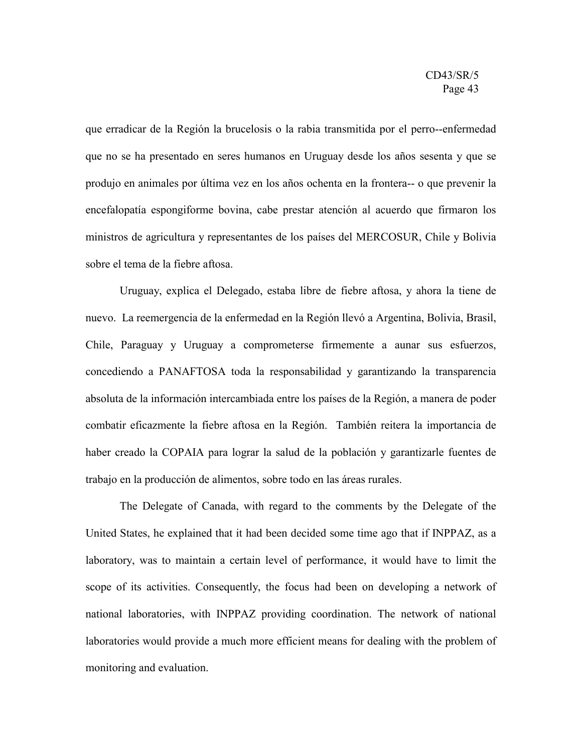que erradicar de la Región la brucelosis o la rabia transmitida por el perro--enfermedad que no se ha presentado en seres humanos en Uruguay desde los años sesenta y que se produjo en animales por última vez en los años ochenta en la frontera-- o que prevenir la encefalopatía espongiforme bovina, cabe prestar atención al acuerdo que firmaron los ministros de agricultura y representantes de los países del MERCOSUR, Chile y Bolivia sobre el tema de la fiebre aftosa.

Uruguay, explica el Delegado, estaba libre de fiebre aftosa, y ahora la tiene de nuevo. La reemergencia de la enfermedad en la Región llevó a Argentina, Bolivia, Brasil, Chile, Paraguay y Uruguay a comprometerse firmemente a aunar sus esfuerzos, concediendo a PANAFTOSA toda la responsabilidad y garantizando la transparencia absoluta de la información intercambiada entre los países de la Región, a manera de poder combatir eficazmente la fiebre aftosa en la Región. También reitera la importancia de haber creado la COPAIA para lograr la salud de la población y garantizarle fuentes de trabajo en la producción de alimentos, sobre todo en las áreas rurales.

The Delegate of Canada, with regard to the comments by the Delegate of the United States, he explained that it had been decided some time ago that if INPPAZ, as a laboratory, was to maintain a certain level of performance, it would have to limit the scope of its activities. Consequently, the focus had been on developing a network of national laboratories, with INPPAZ providing coordination. The network of national laboratories would provide a much more efficient means for dealing with the problem of monitoring and evaluation.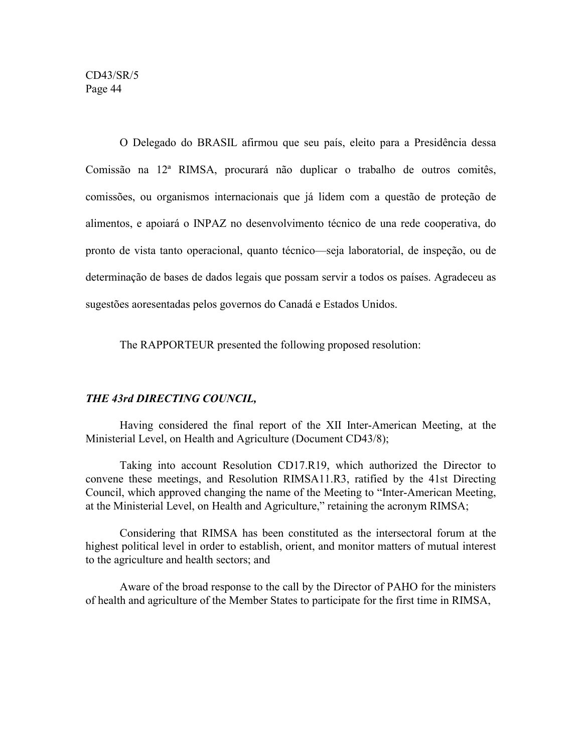O Delegado do BRASIL afirmou que seu país, eleito para a Presidência dessa Comissão na 12ª RIMSA, procurará não duplicar o trabalho de outros comitês, comissões, ou organismos internacionais que já lidem com a questão de proteção de alimentos, e apoiará o INPAZ no desenvolvimento técnico de una rede cooperativa, do pronto de vista tanto operacional, quanto técnico—seja laboratorial, de inspeção, ou de determinação de bases de dados legais que possam servir a todos os países. Agradeceu as sugestões aoresentadas pelos governos do Canadá e Estados Unidos.

The RAPPORTEUR presented the following proposed resolution:

# *THE 43rd DIRECTING COUNCIL,*

Having considered the final report of the XII Inter-American Meeting, at the Ministerial Level, on Health and Agriculture (Document CD43/8);

Taking into account Resolution CD17.R19, which authorized the Director to convene these meetings, and Resolution RIMSA11.R3, ratified by the 41st Directing Council, which approved changing the name of the Meeting to "Inter-American Meeting, at the Ministerial Level, on Health and Agriculture," retaining the acronym RIMSA;

Considering that RIMSA has been constituted as the intersectoral forum at the highest political level in order to establish, orient, and monitor matters of mutual interest to the agriculture and health sectors; and

Aware of the broad response to the call by the Director of PAHO for the ministers of health and agriculture of the Member States to participate for the first time in RIMSA,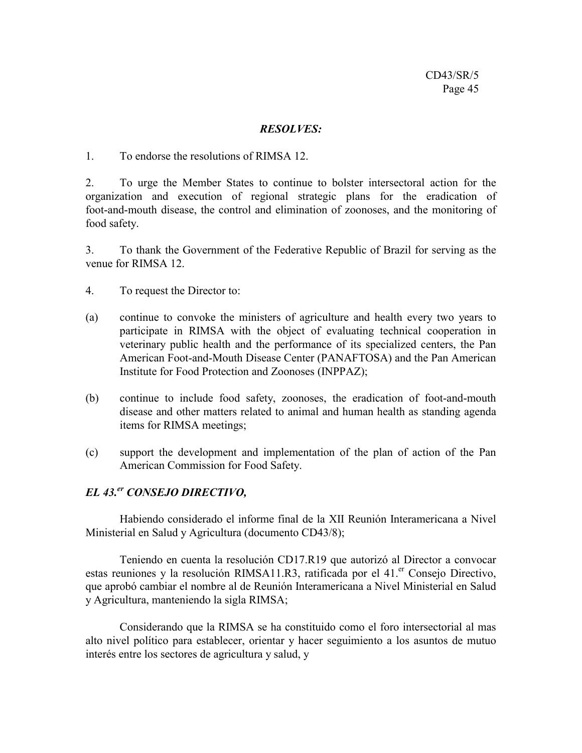### *RESOLVES:*

1. To endorse the resolutions of RIMSA 12.

2. To urge the Member States to continue to bolster intersectoral action for the organization and execution of regional strategic plans for the eradication of foot-and-mouth disease, the control and elimination of zoonoses, and the monitoring of food safety.

3. To thank the Government of the Federative Republic of Brazil for serving as the venue for RIMSA 12.

4. To request the Director to:

- (a) continue to convoke the ministers of agriculture and health every two years to participate in RIMSA with the object of evaluating technical cooperation in veterinary public health and the performance of its specialized centers, the Pan American Foot-and-Mouth Disease Center (PANAFTOSA) and the Pan American Institute for Food Protection and Zoonoses (INPPAZ);
- (b) continue to include food safety, zoonoses, the eradication of foot-and-mouth disease and other matters related to animal and human health as standing agenda items for RIMSA meetings;
- (c) support the development and implementation of the plan of action of the Pan American Commission for Food Safety.

# *EL 43.er CONSEJO DIRECTIVO,*

Habiendo considerado el informe final de la XII Reunión Interamericana a Nivel Ministerial en Salud y Agricultura (documento CD43/8);

Teniendo en cuenta la resolución CD17.R19 que autorizó al Director a convocar estas reuniones y la resolución RIMSA11.R3, ratificada por el 41.<sup>er</sup> Consejo Directivo, que aprobó cambiar el nombre al de Reunión Interamericana a Nivel Ministerial en Salud y Agricultura, manteniendo la sigla RIMSA;

Considerando que la RIMSA se ha constituido como el foro intersectorial al mas alto nivel político para establecer, orientar y hacer seguimiento a los asuntos de mutuo interés entre los sectores de agricultura y salud, y